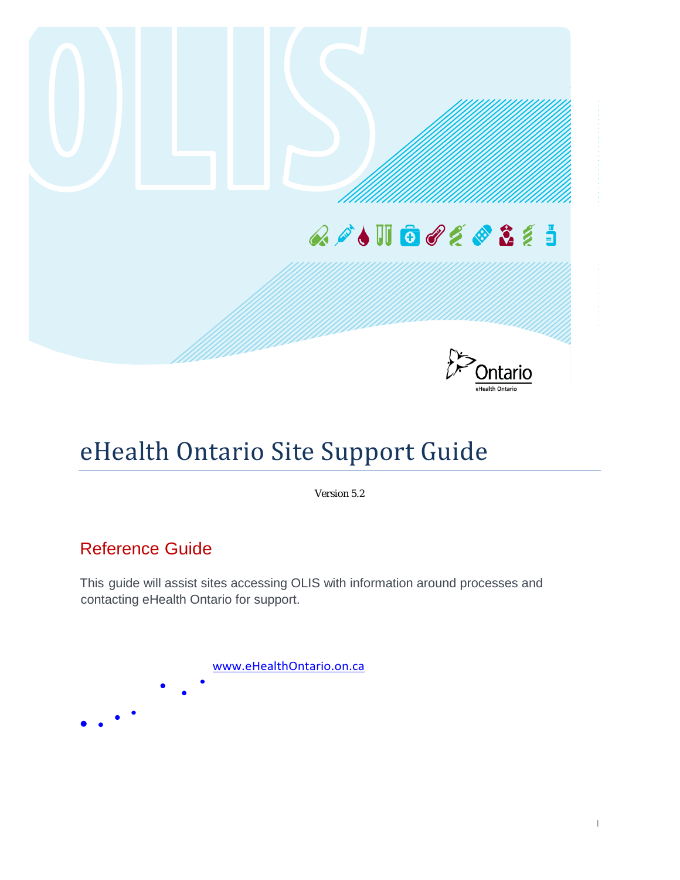

## eHealth Ontario Site Support Guide

Version 5.2

### Reference Guide

This guide will assist sites accessing OLIS with information around processes and contacting eHealth Ontario for support.

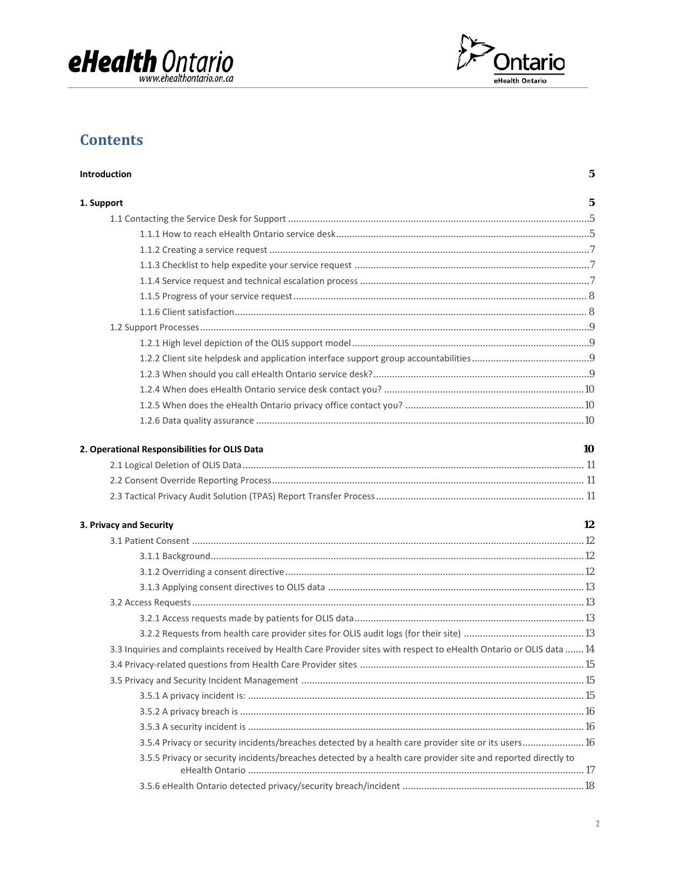



### **Contents**

| Introduction                                                                                                         | 5  |
|----------------------------------------------------------------------------------------------------------------------|----|
| 1. Support                                                                                                           | 5  |
|                                                                                                                      |    |
|                                                                                                                      |    |
|                                                                                                                      |    |
|                                                                                                                      |    |
|                                                                                                                      |    |
|                                                                                                                      |    |
|                                                                                                                      |    |
|                                                                                                                      |    |
|                                                                                                                      |    |
|                                                                                                                      |    |
|                                                                                                                      |    |
|                                                                                                                      |    |
|                                                                                                                      |    |
|                                                                                                                      |    |
| 2. Operational Responsibilities for OLIS Data                                                                        | 10 |
|                                                                                                                      |    |
|                                                                                                                      |    |
|                                                                                                                      |    |
| 3. Privacy and Security                                                                                              | 12 |
|                                                                                                                      |    |
|                                                                                                                      |    |
|                                                                                                                      |    |
|                                                                                                                      |    |
|                                                                                                                      |    |
|                                                                                                                      |    |
|                                                                                                                      |    |
| 3.3 Inquiries and complaints received by Health Care Provider sites with respect to eHealth Ontario or OLIS data  14 |    |
|                                                                                                                      |    |
|                                                                                                                      |    |
|                                                                                                                      |    |
|                                                                                                                      |    |
|                                                                                                                      |    |
| 3.5.4 Privacy or security incidents/breaches detected by a health care provider site or its users 16                 |    |
| 3.5.5 Privacy or security incidents/breaches detected by a health care provider site and reported directly to        |    |
|                                                                                                                      |    |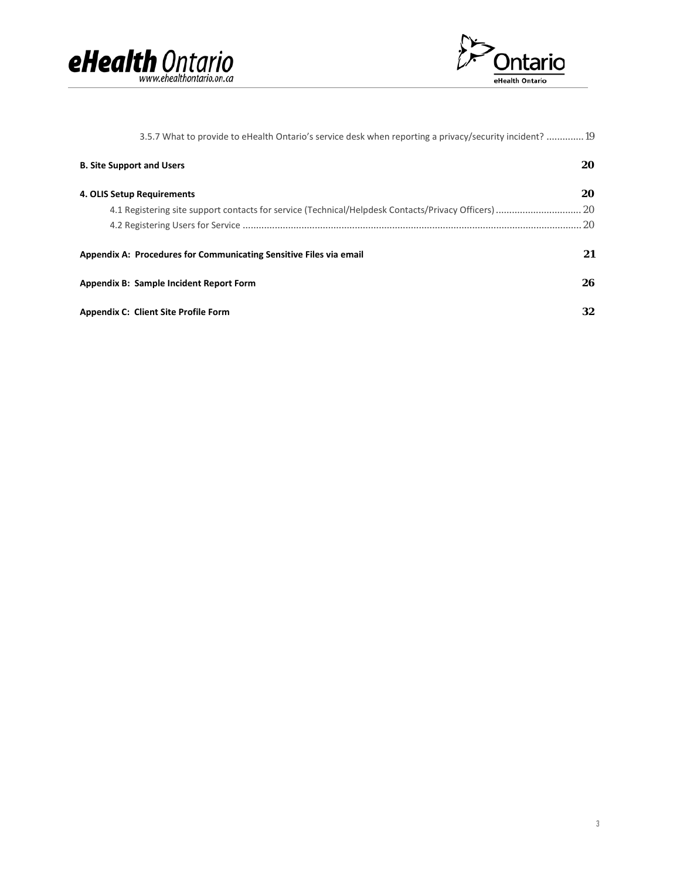



| 3.5.7 What to provide to eHealth Ontario's service desk when reporting a privacy/security incident?19 |     |
|-------------------------------------------------------------------------------------------------------|-----|
| <b>B. Site Support and Users</b>                                                                      | 20  |
| 4. OLIS Setup Requirements                                                                            | 20  |
| 4.1 Registering site support contacts for service (Technical/Helpdesk Contacts/Privacy Officers)  20  |     |
|                                                                                                       | .20 |
| Appendix A: Procedures for Communicating Sensitive Files via email                                    | 21  |
| Appendix B: Sample Incident Report Form                                                               | 26  |
| <b>Appendix C: Client Site Profile Form</b>                                                           | 32  |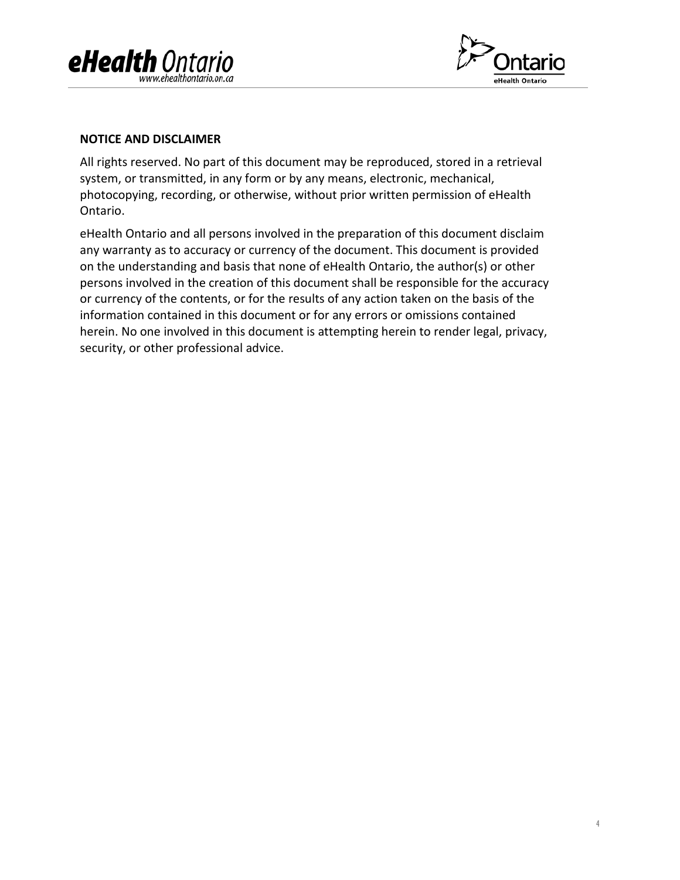



#### **NOTICE AND DISCLAIMER**

All rights reserved. No part of this document may be reproduced, stored in a retrieval system, or transmitted, in any form or by any means, electronic, mechanical, photocopying, recording, or otherwise, without prior written permission of eHealth Ontario.

eHealth Ontario and all persons involved in the preparation of this document disclaim any warranty as to accuracy or currency of the document. This document is provided on the understanding and basis that none of eHealth Ontario, the author(s) or other persons involved in the creation of this document shall be responsible for the accuracy or currency of the contents, or for the results of any action taken on the basis of the information contained in this document or for any errors or omissions contained herein. No one involved in this document is attempting herein to render legal, privacy, security, or other professional advice.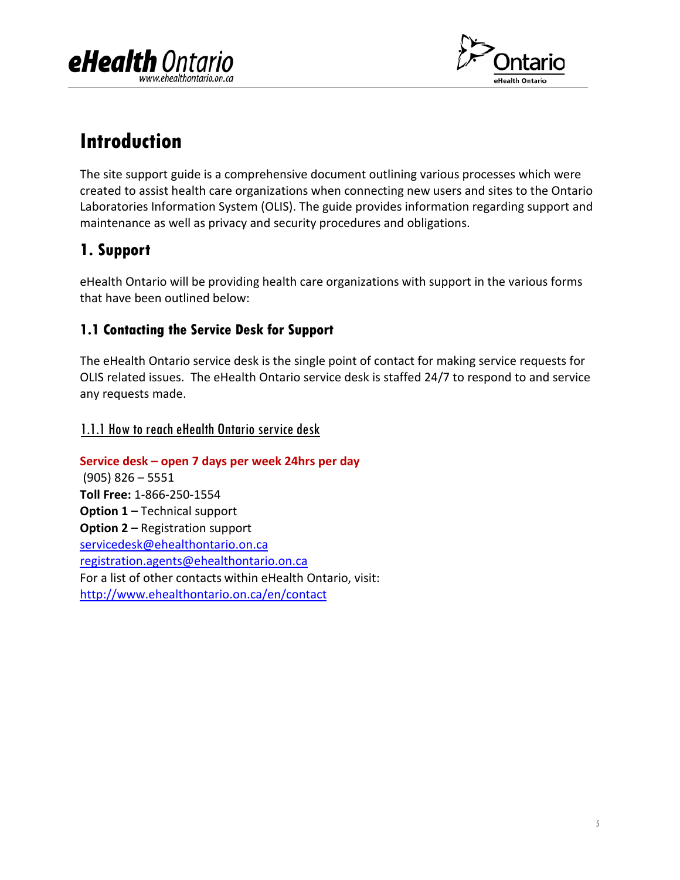



### <span id="page-4-0"></span>**Introduction**

The site support guide is a comprehensive document outlining various processes which were created to assist health care organizations when connecting new users and sites to the Ontario Laboratories Information System (OLIS). The guide provides information regarding support and maintenance as well as privacy and security procedures and obligations.

### <span id="page-4-1"></span>**1. Support**

eHealth Ontario will be providing health care organizations with support in the various forms that have been outlined below:

### <span id="page-4-2"></span>**1.1 Contacting the Service Desk for Support**

The eHealth Ontario service desk is the single point of contact for making service requests for OLIS related issues. The eHealth Ontario service desk is staffed 24/7 to respond to and service any requests made.

### <span id="page-4-3"></span>1.1.1 How to reach eHealth Ontario service desk

**Service desk – open 7 days per week 24hrs per day** (905) 826 – 5551 **Toll Free:** 1-866-250-1554 **Option 1 –** Technical support **Option 2 –** Registration support [servicedesk@ehealthontario.on.ca](mailto:servicedesk@ehealthontario.on.ca) [registration.agents@ehealthontario.on.ca](mailto:registration.agents@ehealthontario.on.ca) For a list of other contacts within eHealth Ontario, visit: <http://www.ehealthontario.on.ca/en/contact>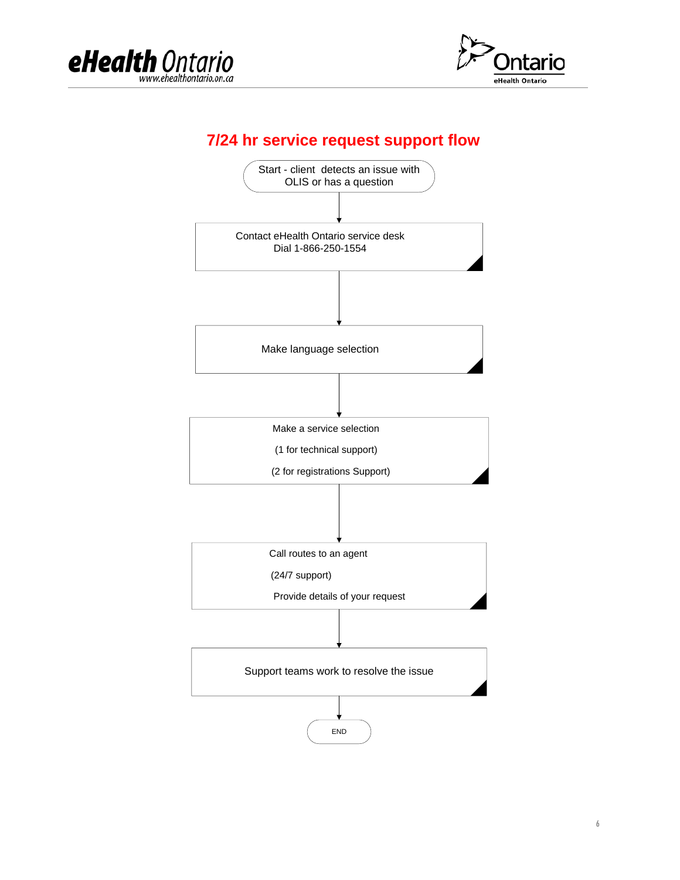



### **7/24 hr service request support flow**

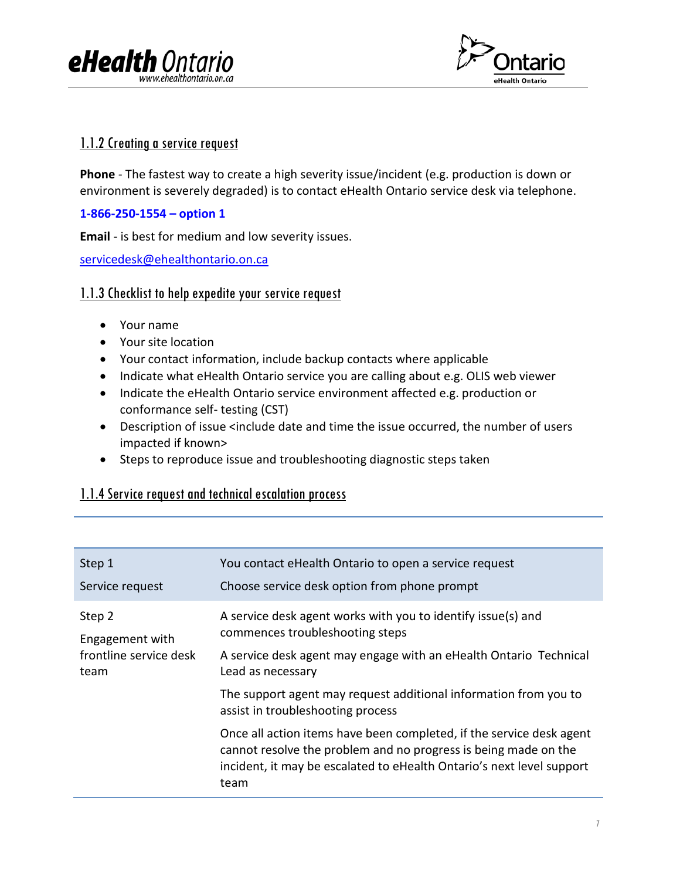



### <span id="page-6-0"></span>1.1.2 Creating a service request

**Phone** - The fastest way to create a high severity issue/incident (e.g. production is down or environment is severely degraded) is to contact eHealth Ontario service desk via telephone.

#### **1-866-250-1554 – option 1**

**Email** - is best for medium and low severity issues.

[servicedesk@ehealthontario.on.ca](mailto:servicedesk@ehealthontario.on.ca)

### <span id="page-6-1"></span>1.1.3 Checklist to help expedite your service request

- Your name
- Your site location
- Your contact information, include backup contacts where applicable
- Indicate what eHealth Ontario service you are calling about e.g. OLIS web viewer
- Indicate the eHealth Ontario service environment affected e.g. production or conformance self- testing (CST)
- Description of issue <include date and time the issue occurred, the number of users impacted if known>
- Steps to reproduce issue and troubleshooting diagnostic steps taken

### <span id="page-6-2"></span>1.1.4 Service request and technical escalation process

| Step 1                 | You contact eHealth Ontario to open a service request                                                                                                                                                                    |
|------------------------|--------------------------------------------------------------------------------------------------------------------------------------------------------------------------------------------------------------------------|
| Service request        | Choose service desk option from phone prompt                                                                                                                                                                             |
| Step 2                 | A service desk agent works with you to identify issue(s) and                                                                                                                                                             |
| Engagement with        | commences troubleshooting steps                                                                                                                                                                                          |
| frontline service desk | A service desk agent may engage with an eHealth Ontario Technical                                                                                                                                                        |
| team                   | Lead as necessary                                                                                                                                                                                                        |
|                        | The support agent may request additional information from you to<br>assist in troubleshooting process                                                                                                                    |
|                        | Once all action items have been completed, if the service desk agent<br>cannot resolve the problem and no progress is being made on the<br>incident, it may be escalated to eHealth Ontario's next level support<br>team |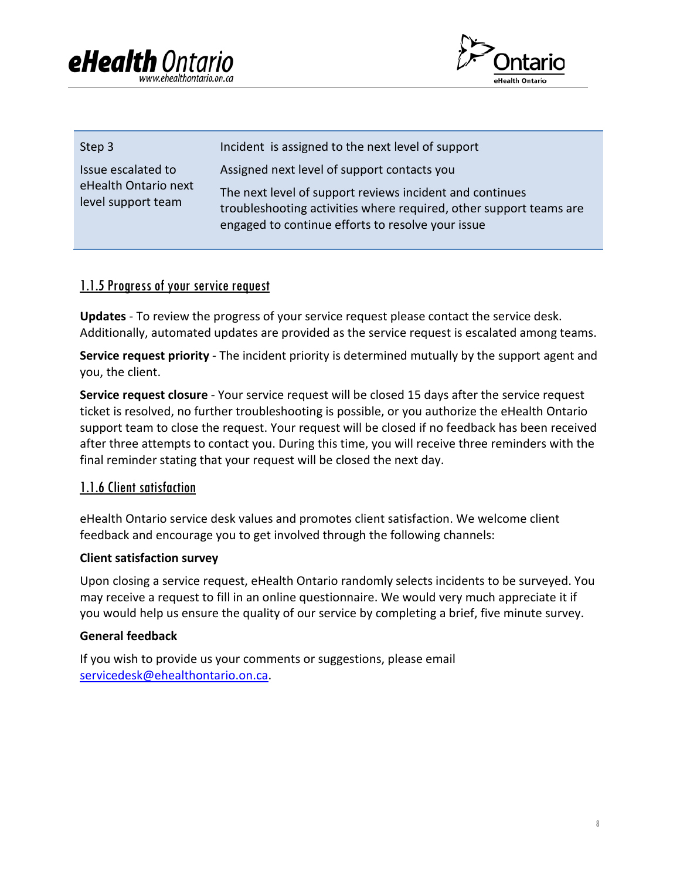



| Step 3                                                           | Incident is assigned to the next level of support                                                                                                                                                                                  |
|------------------------------------------------------------------|------------------------------------------------------------------------------------------------------------------------------------------------------------------------------------------------------------------------------------|
| Issue escalated to<br>eHealth Ontario next<br>level support team | Assigned next level of support contacts you<br>The next level of support reviews incident and continues<br>troubleshooting activities where required, other support teams are<br>engaged to continue efforts to resolve your issue |

### <span id="page-7-0"></span>1.1.5 Progress of your service request

**Updates** - To review the progress of your service request please contact the service desk. Additionally, automated updates are provided as the service request is escalated among teams.

**Service request priority** - The incident priority is determined mutually by the support agent and you, the client.

**Service request closure** - Your service request will be closed 15 days after the service request ticket is resolved, no further troubleshooting is possible, or you authorize the eHealth Ontario support team to close the request. Your request will be closed if no feedback has been received after three attempts to contact you. During this time, you will receive three reminders with the final reminder stating that your request will be closed the next day.

### <span id="page-7-1"></span>1.1.6 Client satisfaction

eHealth Ontario service desk values and promotes client satisfaction. We welcome client feedback and encourage you to get involved through the following channels:

#### **Client satisfaction survey**

Upon closing a service request, eHealth Ontario randomly selects incidents to be surveyed. You may receive a request to fill in an online questionnaire. We would very much appreciate it if you would help us ensure the quality of our service by completing a brief, five minute survey.

#### **General feedback**

If you wish to provide us your comments or suggestions, please email [servicedesk@ehealthontario.on.ca.](mailto:servicedesk@ehealthontario.on.ca)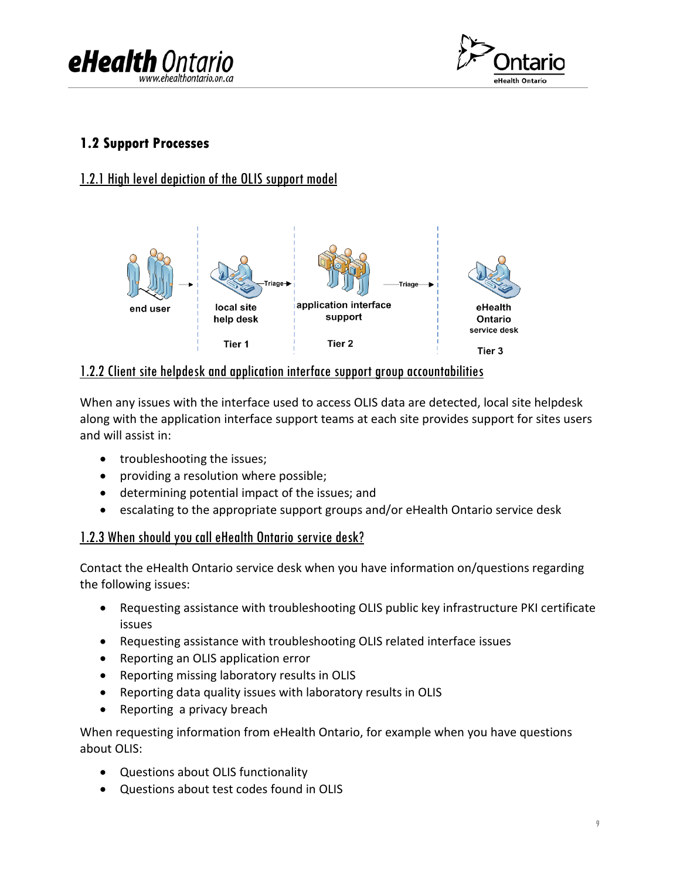



### <span id="page-8-0"></span>**1.2 Support Processes**

### <span id="page-8-1"></span>1.2.1 High level depiction of the OLIS support model



### <span id="page-8-2"></span>1.2.2 Client site helpdesk and application interface support group accountabilities

When any issues with the interface used to access OLIS data are detected, local site helpdesk along with the application interface support teams at each site provides support for sites users and will assist in:

- troubleshooting the issues;
- providing a resolution where possible;
- determining potential impact of the issues; and
- escalating to the appropriate support groups and/or eHealth Ontario service desk

### <span id="page-8-3"></span>1.2.3 When should you call eHealth Ontario service desk?

Contact the eHealth Ontario service desk when you have information on/questions regarding the following issues:

- Requesting assistance with troubleshooting OLIS public key infrastructure PKI certificate issues
- Requesting assistance with troubleshooting OLIS related interface issues
- Reporting an OLIS application error
- Reporting missing laboratory results in OLIS
- Reporting data quality issues with laboratory results in OLIS
- Reporting a privacy breach

When requesting information from eHealth Ontario, for example when you have questions about OLIS:

- Questions about OLIS functionality
- Questions about test codes found in OLIS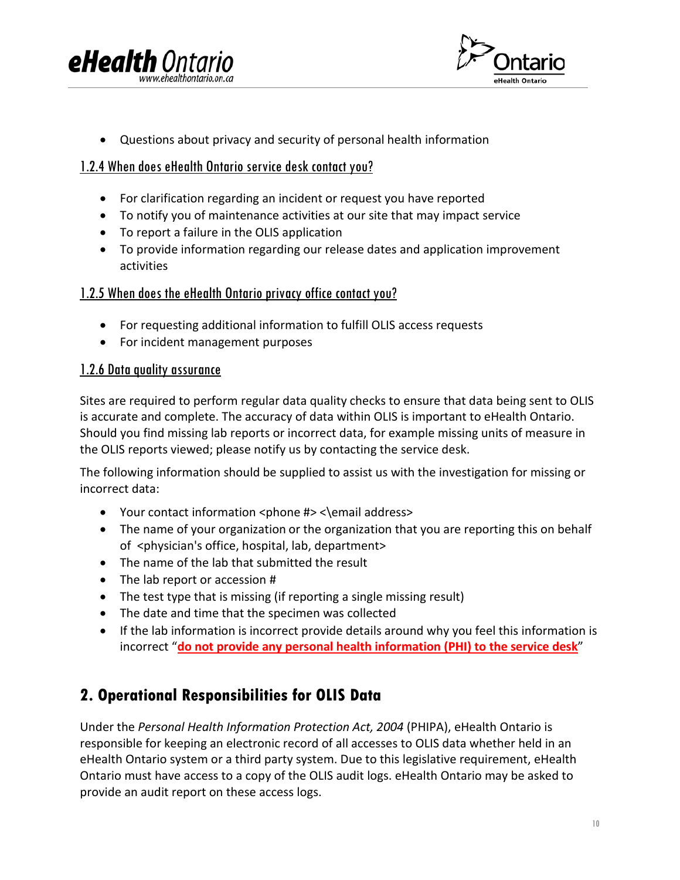



• Questions about privacy and security of personal health information

### <span id="page-9-0"></span>1.2.4 When does eHealth Ontario service desk contact you?

- For clarification regarding an incident or request you have reported
- To notify you of maintenance activities at our site that may impact service
- To report a failure in the OLIS application
- To provide information regarding our release dates and application improvement activities

### <span id="page-9-1"></span>1.2.5 When does the eHealth Ontario privacy office contact you?

- For requesting additional information to fulfill OLIS access requests
- For incident management purposes

### <span id="page-9-2"></span>1.2.6 Data quality assurance

Sites are required to perform regular data quality checks to ensure that data being sent to OLIS is accurate and complete. The accuracy of data within OLIS is important to eHealth Ontario. Should you find missing lab reports or incorrect data, for example missing units of measure in the OLIS reports viewed; please notify us by contacting the service desk.

The following information should be supplied to assist us with the investigation for missing or incorrect data:

- Your contact information <phone #> <\email address>
- The name of your organization or the organization that you are reporting this on behalf of <physician's office, hospital, lab, department>
- The name of the lab that submitted the result
- The lab report or accession #
- The test type that is missing (if reporting a single missing result)
- The date and time that the specimen was collected
- If the lab information is incorrect provide details around why you feel this information is incorrect "**do not provide any personal health information (PHI) to the service desk**"

### <span id="page-9-3"></span>**2. Operational Responsibilities for OLIS Data**

Under the *Personal Health Information Protection Act, 2004* (PHIPA), eHealth Ontario is responsible for keeping an electronic record of all accesses to OLIS data whether held in an eHealth Ontario system or a third party system. Due to this legislative requirement, eHealth Ontario must have access to a copy of the OLIS audit logs. eHealth Ontario may be asked to provide an audit report on these access logs.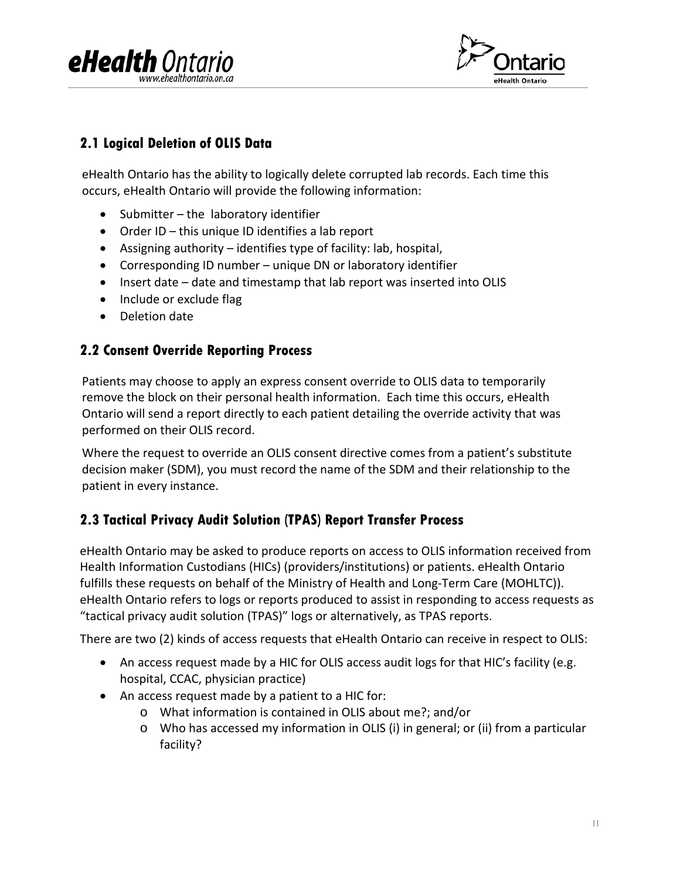



### <span id="page-10-0"></span>**2.1 Logical Deletion of OLIS Data**

eHealth Ontario has the ability to logically delete corrupted lab records. Each time this occurs, eHealth Ontario will provide the following information:

- Submitter the laboratory identifier
- Order ID this unique ID identifies a lab report
- Assigning authority identifies type of facility: lab, hospital,
- Corresponding ID number unique DN or laboratory identifier
- Insert date date and timestamp that lab report was inserted into OLIS
- Include or exclude flag
- Deletion date

### <span id="page-10-1"></span>**2.2 Consent Override Reporting Process**

Patients may choose to apply an express consent override to OLIS data to temporarily remove the block on their personal health information. Each time this occurs, eHealth Ontario will send a report directly to each patient detailing the override activity that was performed on their OLIS record.

Where the request to override an OLIS consent directive comes from a patient's substitute decision maker (SDM), you must record the name of the SDM and their relationship to the patient in every instance.

### <span id="page-10-2"></span>**2.3 Tactical Privacy Audit Solution (TPAS) Report Transfer Process**

eHealth Ontario may be asked to produce reports on access to OLIS information received from Health Information Custodians (HICs) (providers/institutions) or patients. eHealth Ontario fulfills these requests on behalf of the Ministry of Health and Long-Term Care (MOHLTC)). eHealth Ontario refers to logs or reports produced to assist in responding to access requests as "tactical privacy audit solution (TPAS)" logs or alternatively, as TPAS reports.

There are two (2) kinds of access requests that eHealth Ontario can receive in respect to OLIS:

- An access request made by a HIC for OLIS access audit logs for that HIC's facility (e.g. hospital, CCAC, physician practice)
- An access request made by a patient to a HIC for:
	- o What information is contained in OLIS about me?; and/or
	- o Who has accessed my information in OLIS (i) in general; or (ii) from a particular facility?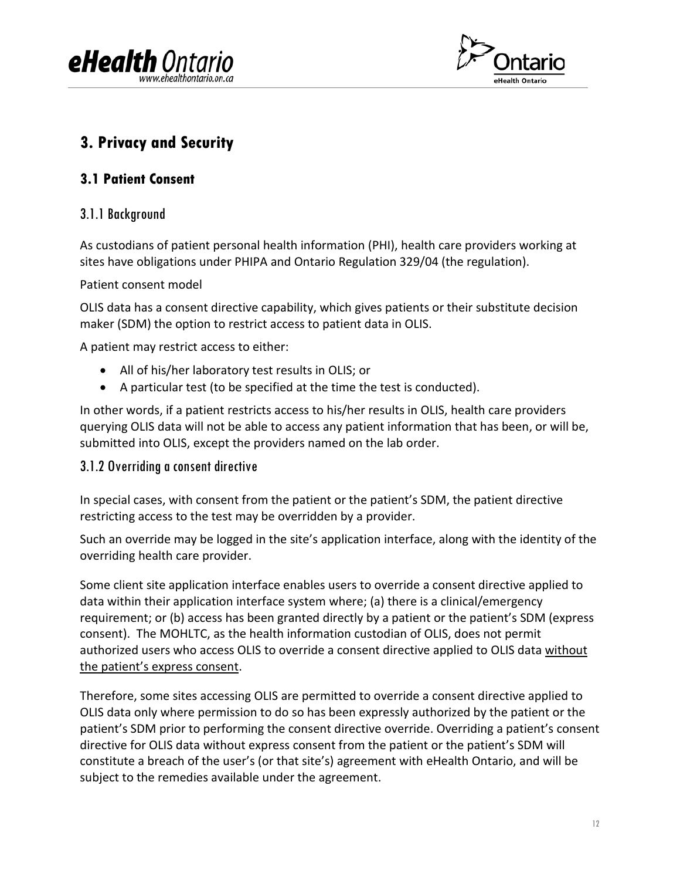



### <span id="page-11-0"></span>**3. Privacy and Security**

### <span id="page-11-1"></span>**3.1 Patient Consent**

### <span id="page-11-2"></span>3.1.1 Background

As custodians of patient personal health information (PHI), health care providers working at sites have obligations under PHIPA and Ontario Regulation 329/04 (the regulation).

### Patient consent model

OLIS data has a consent directive capability, which gives patients or their substitute decision maker (SDM) the option to restrict access to patient data in OLIS.

A patient may restrict access to either:

- All of his/her laboratory test results in OLIS; or
- A particular test (to be specified at the time the test is conducted).

In other words, if a patient restricts access to his/her results in OLIS, health care providers querying OLIS data will not be able to access any patient information that has been, or will be, submitted into OLIS, except the providers named on the lab order.

### <span id="page-11-3"></span>3.1.2 Overriding a consent directive

In special cases, with consent from the patient or the patient's SDM, the patient directive restricting access to the test may be overridden by a provider.

Such an override may be logged in the site's application interface, along with the identity of the overriding health care provider.

Some client site application interface enables users to override a consent directive applied to data within their application interface system where; (a) there is a clinical/emergency requirement; or (b) access has been granted directly by a patient or the patient's SDM (express consent). The MOHLTC, as the health information custodian of OLIS, does not permit authorized users who access OLIS to override a consent directive applied to OLIS data without the patient's express consent.

Therefore, some sites accessing OLIS are permitted to override a consent directive applied to OLIS data only where permission to do so has been expressly authorized by the patient or the patient's SDM prior to performing the consent directive override. Overriding a patient's consent directive for OLIS data without express consent from the patient or the patient's SDM will constitute a breach of the user's (or that site's) agreement with eHealth Ontario, and will be subject to the remedies available under the agreement.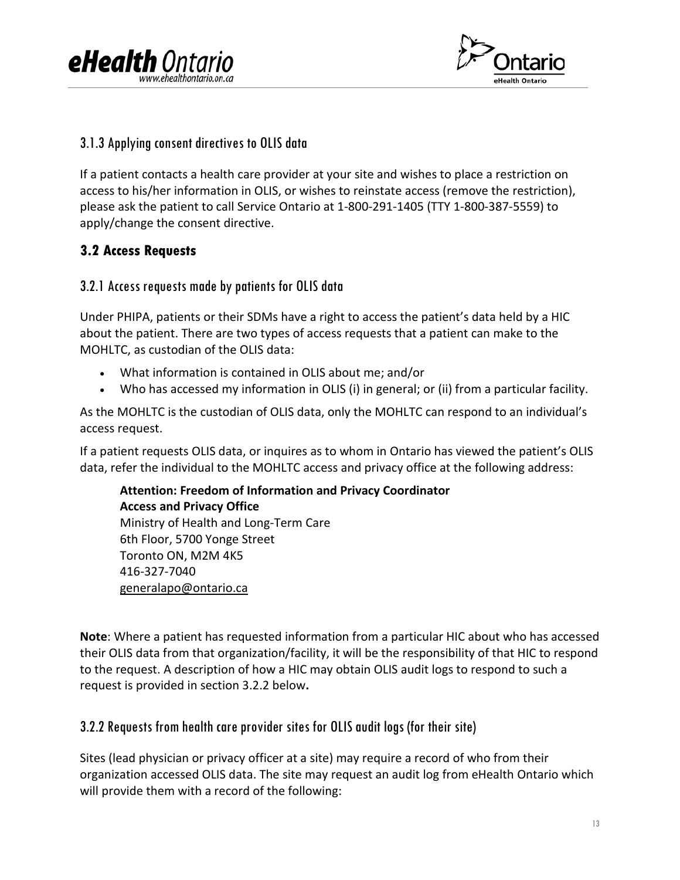



### <span id="page-12-0"></span>3.1.3 Applying consent directives to OLIS data

If a patient contacts a health care provider at your site and wishes to place a restriction on access to his/her information in OLIS, or wishes to reinstate access (remove the restriction), please ask the patient to call Service Ontario at 1-800-291-1405 (TTY 1-800-387-5559) to apply/change the consent directive.

### <span id="page-12-1"></span>**3.2 Access Requests**

### <span id="page-12-2"></span>3.2.1 Access requests made by patients for OLIS data

Under PHIPA, patients or their SDMs have a right to access the patient's data held by a HIC about the patient. There are two types of access requests that a patient can make to the MOHLTC, as custodian of the OLIS data:

- What information is contained in OLIS about me; and/or
- Who has accessed my information in OLIS (i) in general; or (ii) from a particular facility.

As the MOHLTC is the custodian of OLIS data, only the MOHLTC can respond to an individual's access request.

If a patient requests OLIS data, or inquires as to whom in Ontario has viewed the patient's OLIS data, refer the individual to the MOHLTC access and privacy office at the following address:

**Attention: Freedom of Information and Privacy Coordinator Access and Privacy Office**  Ministry of Health and Long-Term Care 6th Floor, 5700 Yonge Street Toronto ON, M2M 4K5 416-327-7040 [generalapo@ontario.ca](mailto:generalapo@ontario.ca)

**Note**: Where a patient has requested information from a particular HIC about who has accessed their OLIS data from that organization/facility, it will be the responsibility of that HIC to respond to the request. A description of how a HIC may obtain OLIS audit logs to respond to such a request is provided in section 3.2.2 below**.**

### <span id="page-12-3"></span>3.2.2 Requests from health care provider sites for OLIS audit logs (for their site)

Sites (lead physician or privacy officer at a site) may require a record of who from their organization accessed OLIS data. The site may request an audit log from eHealth Ontario which will provide them with a record of the following: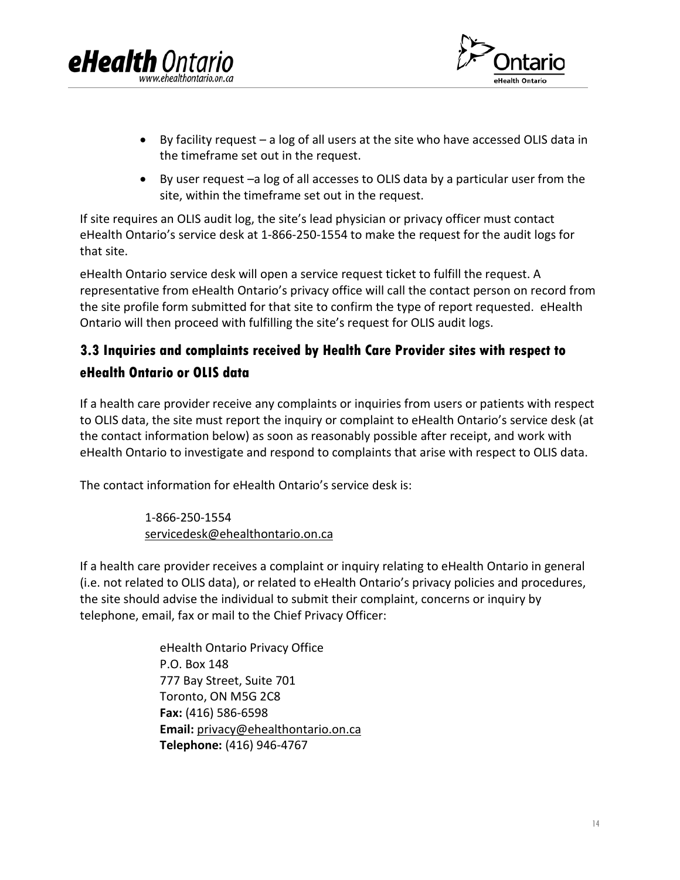

- By facility request a log of all users at the site who have accessed OLIS data in the timeframe set out in the request.
- By user request –a log of all accesses to OLIS data by a particular user from the site, within the timeframe set out in the request.

If site requires an OLIS audit log, the site's lead physician or privacy officer must contact eHealth Ontario's service desk at 1-866-250-1554 to make the request for the audit logs for that site.

eHealth Ontario service desk will open a service request ticket to fulfill the request. A representative from eHealth Ontario's privacy office will call the contact person on record from the site profile form submitted for that site to confirm the type of report requested. eHealth Ontario will then proceed with fulfilling the site's request for OLIS audit logs.

### <span id="page-13-0"></span>**3.3 Inquiries and complaints received by Health Care Provider sites with respect to eHealth Ontario or OLIS data**

If a health care provider receive any complaints or inquiries from users or patients with respect to OLIS data, the site must report the inquiry or complaint to eHealth Ontario's service desk (at the contact information below) as soon as reasonably possible after receipt, and work with eHealth Ontario to investigate and respond to complaints that arise with respect to OLIS data.

The contact information for eHealth Ontario's service desk is:

**eHealth** Ont

1-866-250-1554 [servicedesk@ehealthontario.on.ca](mailto:servicedesk@ehealthontario.on.ca)

If a health care provider receives a complaint or inquiry relating to eHealth Ontario in general (i.e. not related to OLIS data), or related to eHealth Ontario's privacy policies and procedures, the site should advise the individual to submit their complaint, concerns or inquiry by telephone, email, fax or mail to the Chief Privacy Officer:

> eHealth Ontario Privacy Office P.O. Box 148 777 Bay Street, Suite 701 Toronto, ON M5G 2C8 **Fax:** (416) 586-6598 **Email:** [privacy@ehealthontario.on.ca](mailto:privacy@ehealthontario.on.ca) **Telephone:** (416) 946-4767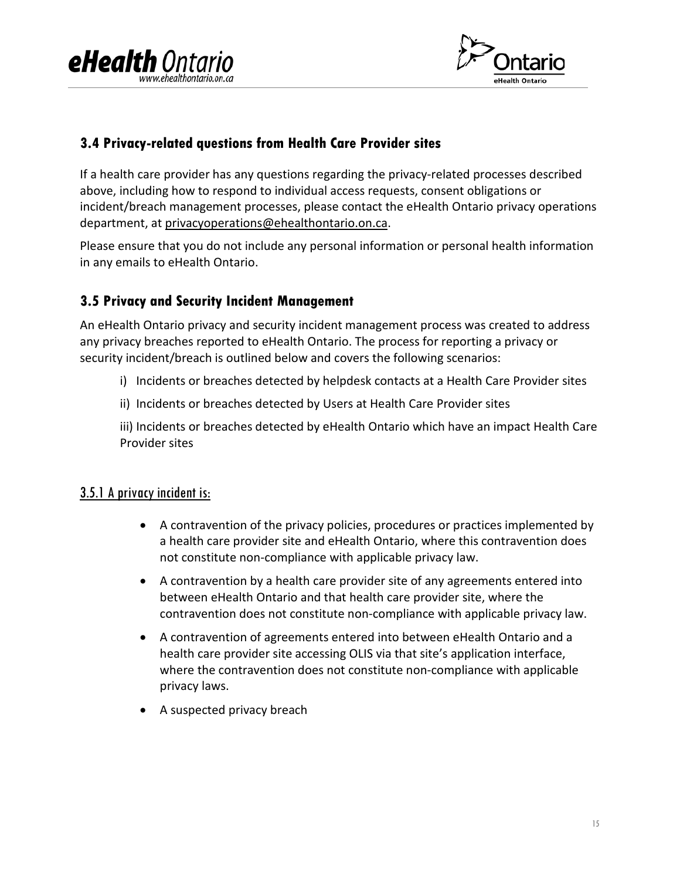



### <span id="page-14-0"></span>**3.4 Privacy-related questions from Health Care Provider sites**

If a health care provider has any questions regarding the privacy-related processes described above, including how to respond to individual access requests, consent obligations or incident/breach management processes, please contact the eHealth Ontario privacy operations department, at [privacyoperations@ehealthontario.on.ca.](mailto:privacyoperations@ehealthontario.on.ca)

Please ensure that you do not include any personal information or personal health information in any emails to eHealth Ontario.

### <span id="page-14-1"></span>**3.5 Privacy and Security Incident Management**

An eHealth Ontario privacy and security incident management process was created to address any privacy breaches reported to eHealth Ontario. The process for reporting a privacy or security incident/breach is outlined below and covers the following scenarios:

- i) Incidents or breaches detected by helpdesk contacts at a Health Care Provider sites
- ii) Incidents or breaches detected by Users at Health Care Provider sites

iii) Incidents or breaches detected by eHealth Ontario which have an impact Health Care Provider sites

### <span id="page-14-2"></span>3.5.1 A privacy incident is:

- A contravention of the privacy policies, procedures or practices implemented by a health care provider site and eHealth Ontario, where this contravention does not constitute non-compliance with applicable privacy law.
- A contravention by a health care provider site of any agreements entered into between eHealth Ontario and that health care provider site, where the contravention does not constitute non-compliance with applicable privacy law.
- A contravention of agreements entered into between eHealth Ontario and a health care provider site accessing OLIS via that site's application interface, where the contravention does not constitute non-compliance with applicable privacy laws.
- A suspected privacy breach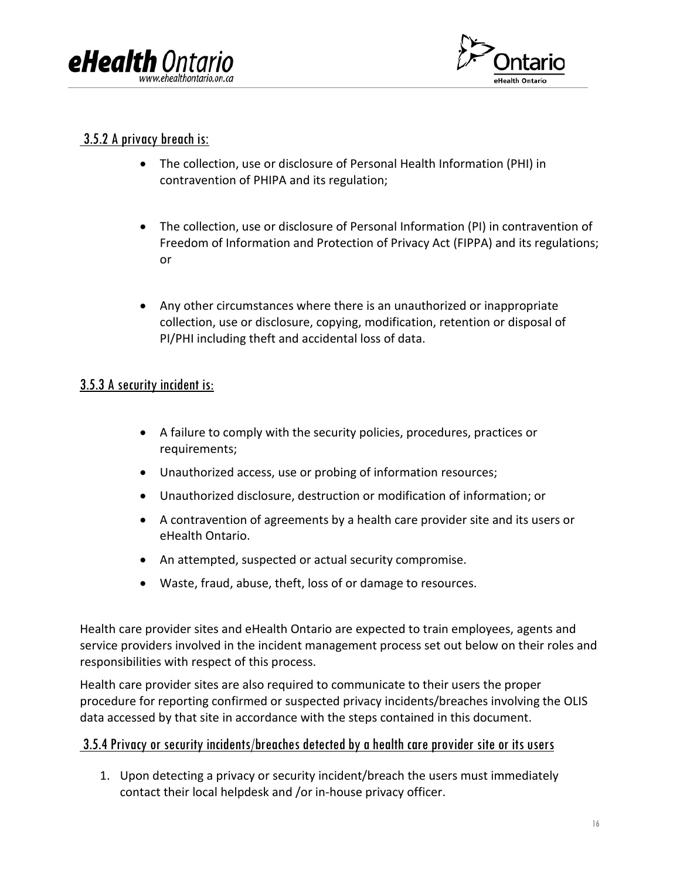



### <span id="page-15-0"></span>3.5.2 A privacy breach is:

- The collection, use or disclosure of Personal Health Information (PHI) in contravention of PHIPA and its regulation;
- The collection, use or disclosure of Personal Information (PI) in contravention of Freedom of Information and Protection of Privacy Act (FIPPA) and its regulations; or
- Any other circumstances where there is an unauthorized or inappropriate collection, use or disclosure, copying, modification, retention or disposal of PI/PHI including theft and accidental loss of data.

### <span id="page-15-1"></span>3.5.3 A security incident is:

- A failure to comply with the security policies, procedures, practices or requirements;
- Unauthorized access, use or probing of information resources;
- Unauthorized disclosure, destruction or modification of information; or
- A contravention of agreements by a health care provider site and its users or eHealth Ontario.
- An attempted, suspected or actual security compromise.
- Waste, fraud, abuse, theft, loss of or damage to resources.

Health care provider sites and eHealth Ontario are expected to train employees, agents and service providers involved in the incident management process set out below on their roles and responsibilities with respect of this process.

Health care provider sites are also required to communicate to their users the proper procedure for reporting confirmed or suspected privacy incidents/breaches involving the OLIS data accessed by that site in accordance with the steps contained in this document.

### <span id="page-15-2"></span><u>3.5.4 Privacy or security incidents/breaches detected by a health care provider site or its users</u>

1. Upon detecting a privacy or security incident/breach the users must immediately contact their local helpdesk and /or in-house privacy officer.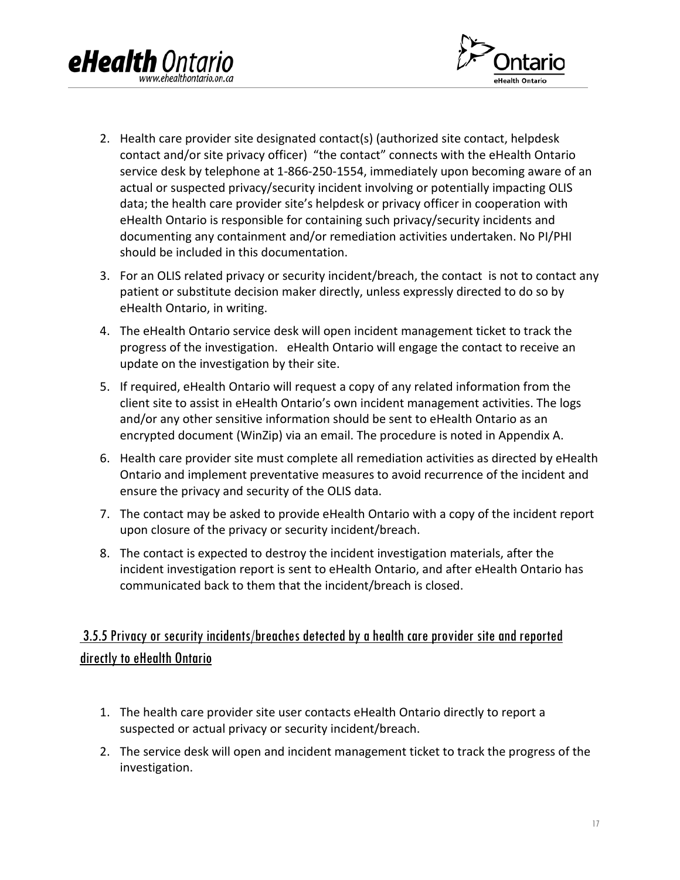



- 2. Health care provider site designated contact(s) (authorized site contact, helpdesk contact and/or site privacy officer) "the contact" connects with the eHealth Ontario service desk by telephone at 1-866-250-1554, immediately upon becoming aware of an actual or suspected privacy/security incident involving or potentially impacting OLIS data; the health care provider site's helpdesk or privacy officer in cooperation with eHealth Ontario is responsible for containing such privacy/security incidents and documenting any containment and/or remediation activities undertaken. No PI/PHI should be included in this documentation.
- 3. For an OLIS related privacy or security incident/breach, the contact is not to contact any patient or substitute decision maker directly, unless expressly directed to do so by eHealth Ontario, in writing.
- 4. The eHealth Ontario service desk will open incident management ticket to track the progress of the investigation. eHealth Ontario will engage the contact to receive an update on the investigation by their site.
- 5. If required, eHealth Ontario will request a copy of any related information from the client site to assist in eHealth Ontario's own incident management activities. The logs and/or any other sensitive information should be sent to eHealth Ontario as an encrypted document (WinZip) via an email. The procedure is noted in Appendix A.
- 6. Health care provider site must complete all remediation activities as directed by eHealth Ontario and implement preventative measures to avoid recurrence of the incident and ensure the privacy and security of the OLIS data.
- 7. The contact may be asked to provide eHealth Ontario with a copy of the incident report upon closure of the privacy or security incident/breach.
- 8. The contact is expected to destroy the incident investigation materials, after the incident investigation report is sent to eHealth Ontario, and after eHealth Ontario has communicated back to them that the incident/breach is closed.

### <span id="page-16-0"></span>3.5.5 Privacy or security incidents/breaches detected by ahealth care provider site and reported directly to eHealth Ontario

- 1. The health care provider site user contacts eHealth Ontario directly to report a suspected or actual privacy or security incident/breach.
- 2. The service desk will open and incident management ticket to track the progress of the investigation.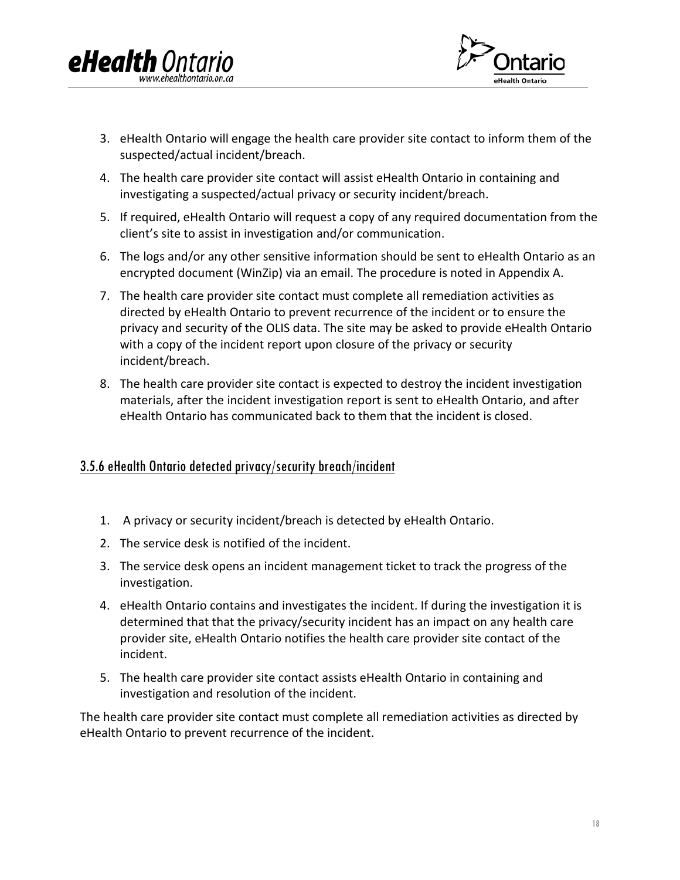



- 3. eHealth Ontario will engage the health care provider site contact to inform them of the suspected/actual incident/breach.
- 4. The health care provider site contact will assist eHealth Ontario in containing and investigating a suspected/actual privacy or security incident/breach.
- 5. If required, eHealth Ontario will request a copy of any required documentation from the client's site to assist in investigation and/or communication.
- 6. The logs and/or any other sensitive information should be sent to eHealth Ontario as an encrypted document (WinZip) via an email. The procedure is noted in Appendix A.
- 7. The health care provider site contact must complete all remediation activities as directed by eHealth Ontario to prevent recurrence of the incident or to ensure the privacy and security of the OLIS data. The site may be asked to provide eHealth Ontario with a copy of the incident report upon closure of the privacy or security incident/breach.
- 8. The health care provider site contact is expected to destroy the incident investigation materials, after the incident investigation report is sent to eHealth Ontario, and after eHealth Ontario has communicated back to them that the incident is closed.

### <span id="page-17-0"></span>3.5.6 eHealth Ontario detected privacy/security breach/incident

- 1. A privacy or security incident/breach is detected by eHealth Ontario.
- 2. The service desk is notified of the incident.
- 3. The service desk opens an incident management ticket to track the progress of the investigation.
- 4. eHealth Ontario contains and investigates the incident. If during the investigation it is determined that that the privacy/security incident has an impact on any health care provider site, eHealth Ontario notifies the health care provider site contact of the incident.
- 5. The health care provider site contact assists eHealth Ontario in containing and investigation and resolution of the incident.

The health care provider site contact must complete all remediation activities as directed by eHealth Ontario to prevent recurrence of the incident.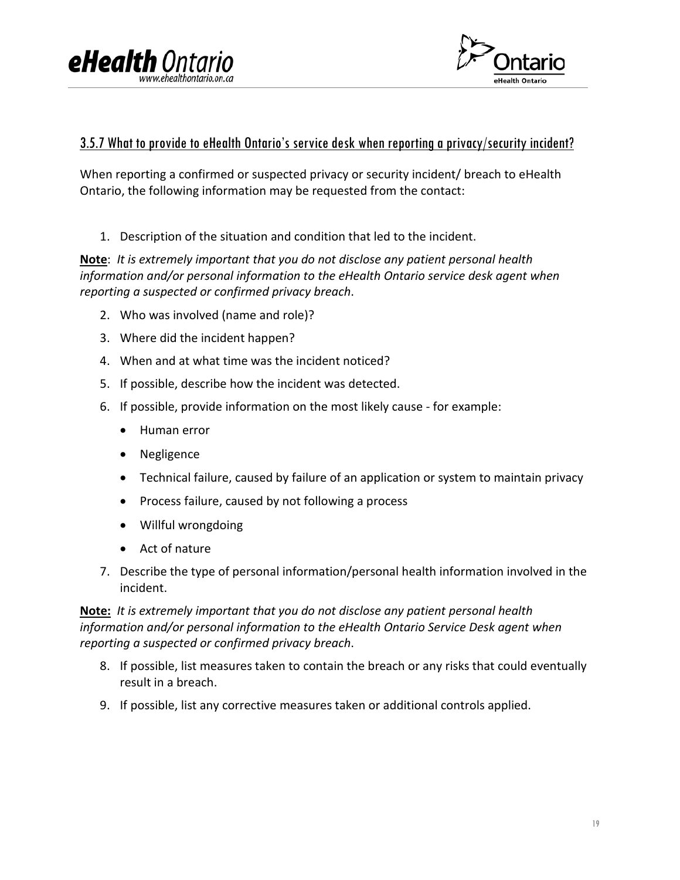



### <span id="page-18-0"></span>3.5.7 What to provide to eHealth Ontario's service desk when reporting a privacy/security incident?

When reporting a confirmed or suspected privacy or security incident/ breach to eHealth Ontario, the following information may be requested from the contact:

1. Description of the situation and condition that led to the incident.

**Note**: *It is extremely important that you do not disclose any patient personal health information and/or personal information to the eHealth Ontario service desk agent when reporting a suspected or confirmed privacy breach*.

- 2. Who was involved (name and role)?
- 3. Where did the incident happen?
- 4. When and at what time was the incident noticed?
- 5. If possible, describe how the incident was detected.
- 6. If possible, provide information on the most likely cause for example:
	- Human error
	- Negligence
	- Technical failure, caused by failure of an application or system to maintain privacy
	- Process failure, caused by not following a process
	- Willful wrongdoing
	- Act of nature
- 7. Describe the type of personal information/personal health information involved in the incident.

**Note:** *It is extremely important that you do not disclose any patient personal health information and/or personal information to the eHealth Ontario Service Desk agent when reporting a suspected or confirmed privacy breach*.

- 8. If possible, list measures taken to contain the breach or any risks that could eventually result in a breach.
- 9. If possible, list any corrective measures taken or additional controls applied.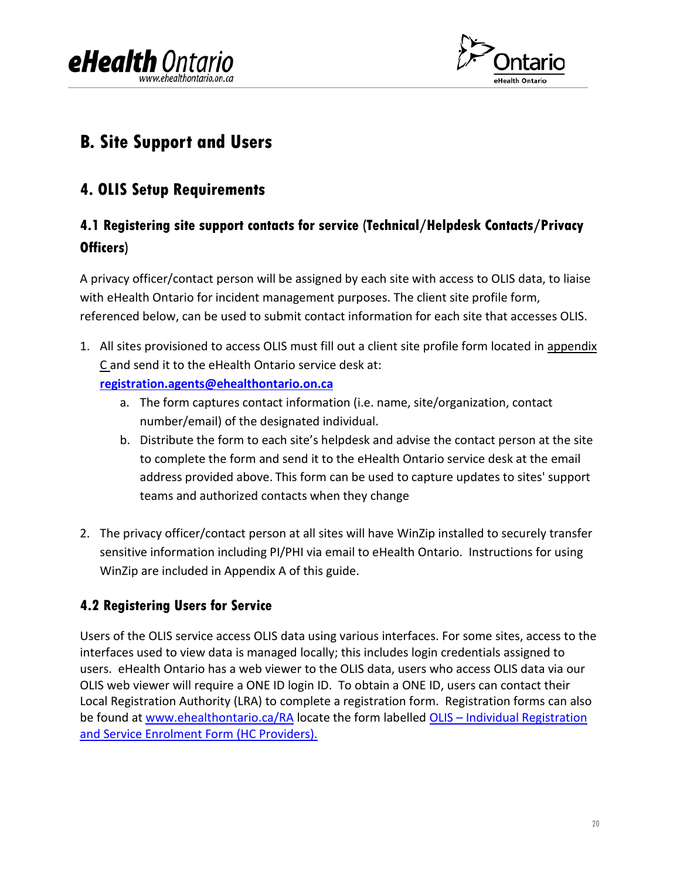



### <span id="page-19-0"></span>**B. Site Support and Users**

### <span id="page-19-1"></span>**4. OLIS Setup Requirements**

### <span id="page-19-2"></span>**4.1 Registering site support contacts for service (Technical/Helpdesk Contacts/Privacy Officers)**

A privacy officer/contact person will be assigned by each site with access to OLIS data, to liaise with eHealth Ontario for incident management purposes. The client site profile form, referenced below, can be used to submit contact information for each site that accesses OLIS.

- 1. All sites provisioned to access OLIS must fill out a client site profile form located in appendix [C](#page-31-0) and send it to the eHealth Ontario service desk at:
	- **[registration.agents@ehealthontario.on.ca](mailto:registration.agents@ehealthontario.on.ca)**
		- a. The form captures contact information (i.e. name, site/organization, contact number/email) of the designated individual.
		- b. Distribute the form to each site's helpdesk and advise the contact person at the site to complete the form and send it to the eHealth Ontario service desk at the email address provided above. This form can be used to capture updates to sites' support teams and authorized contacts when they change
- 2. The privacy officer/contact person at all sites will have WinZip installed to securely transfer sensitive information including PI/PHI via email to eHealth Ontario. Instructions for using WinZip are included in Appendix A of this guide.

### <span id="page-19-3"></span>**4.2 Registering Users for Service**

Users of the OLIS service access OLIS data using various interfaces. For some sites, access to the interfaces used to view data is managed locally; this includes login credentials assigned to users. eHealth Ontario has a web viewer to the OLIS data, users who access OLIS data via our OLIS web viewer will require a ONE ID login ID. To obtain a ONE ID, users can contact their Local Registration Authority (LRA) to complete a registration form. Registration forms can also be found at [www.ehealthontario.ca/RA](http://www.ehealthontario.ca/RA) locate the form labelled OLIS – [Individual Registration](https://www.ehealthontario.ca/portal/server.pt/gateway/PTARGS_0_11862_207_717_23647_43/docman/download/131490/0/0/0/OLIS%20-%20Individual%20Registration%20and%20Service%20Enrolment%20Form%20(HC%20Providers)%20-%2020120118.doc?)  [and Service Enrolment Form \(HC Providers\).](https://www.ehealthontario.ca/portal/server.pt/gateway/PTARGS_0_11862_207_717_23647_43/docman/download/131490/0/0/0/OLIS%20-%20Individual%20Registration%20and%20Service%20Enrolment%20Form%20(HC%20Providers)%20-%2020120118.doc?)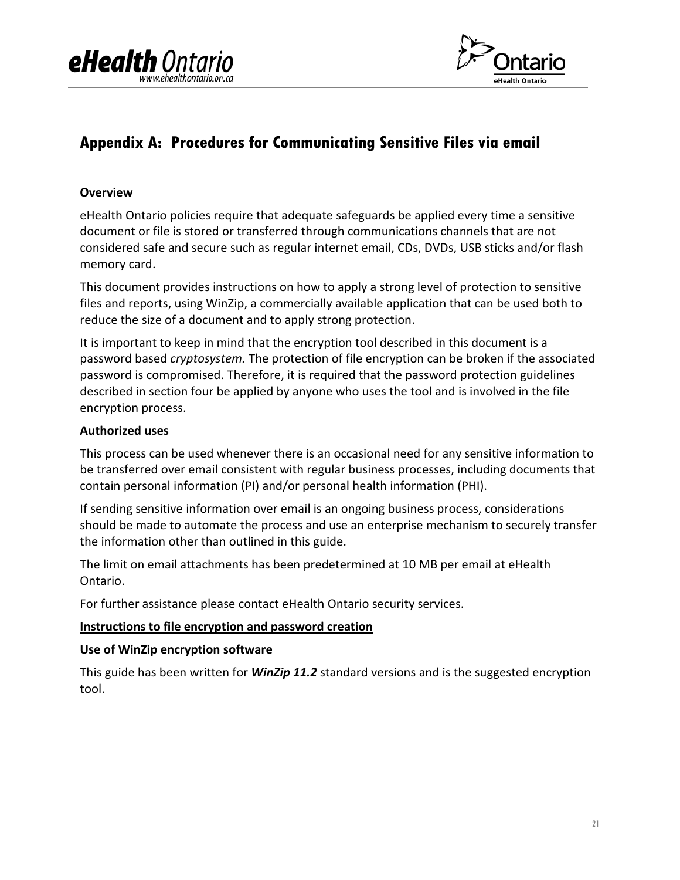



### <span id="page-20-0"></span>**Appendix A: Procedures for Communicating Sensitive Files via email**

#### **Overview**

eHealth Ontario policies require that adequate safeguards be applied every time a sensitive document or file is stored or transferred through communications channels that are not considered safe and secure such as regular internet email, CDs, DVDs, USB sticks and/or flash memory card.

This document provides instructions on how to apply a strong level of protection to sensitive files and reports, using WinZip, a commercially available application that can be used both to reduce the size of a document and to apply strong protection.

It is important to keep in mind that the encryption tool described in this document is a password based *cryptosystem.* The protection of file encryption can be broken if the associated password is compromised. Therefore, it is required that the password protection guidelines described in section four be applied by anyone who uses the tool and is involved in the file encryption process.

### **Authorized uses**

This process can be used whenever there is an occasional need for any sensitive information to be transferred over email consistent with regular business processes, including documents that contain personal information (PI) and/or personal health information (PHI).

If sending sensitive information over email is an ongoing business process, considerations should be made to automate the process and use an enterprise mechanism to securely transfer the information other than outlined in this guide.

The limit on email attachments has been predetermined at 10 MB per email at eHealth Ontario.

For further assistance please contact eHealth Ontario security services.

#### **Instructions to file encryption and password creation**

#### **Use of WinZip encryption software**

This guide has been written for *WinZip 11.2* standard versions and is the suggested encryption tool.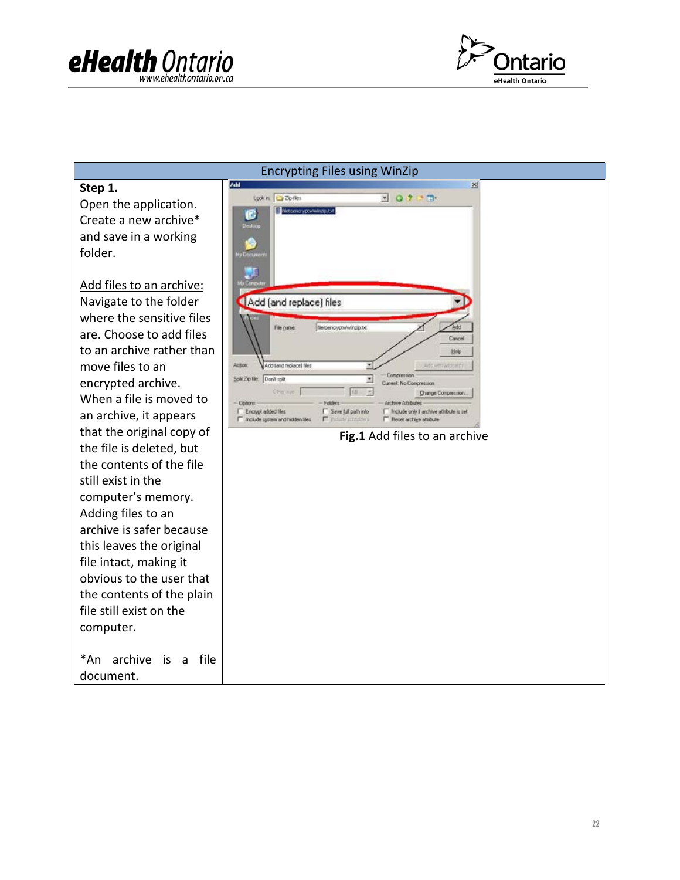



| <b>Encrypting Files using WinZip</b>                                                                                                                                                                                                                                          |                                                                                                                                                                                                                                                                                                                                                                                                                                                                                                                 |  |  |  |
|-------------------------------------------------------------------------------------------------------------------------------------------------------------------------------------------------------------------------------------------------------------------------------|-----------------------------------------------------------------------------------------------------------------------------------------------------------------------------------------------------------------------------------------------------------------------------------------------------------------------------------------------------------------------------------------------------------------------------------------------------------------------------------------------------------------|--|--|--|
| Step 1.<br>Open the application.<br>Create a new archive*<br>and save in a working<br>folder.<br>Add files to an archive:<br>Navigate to the folder<br>where the sensitive files                                                                                              | Add<br>×<br>Lookin: Zip Nes<br><b>NOVER</b><br>Filetoena yptwWnzip.txt<br>C<br>Decktop<br><b>U</b> Document<br>Add (and replace) files                                                                                                                                                                                                                                                                                                                                                                          |  |  |  |
| are. Choose to add files<br>to an archive rather than<br>move files to an<br>encrypted archive.<br>When a file is moved to<br>an archive, it appears<br>that the original copy of<br>the file is deleted, but<br>the contents of the file                                     | Netoenczyptwiwingip.bt<br>File pane:<br>Cancel<br>Help<br>Action<br>Add (and replace) files<br>Add with wide with<br>Compressor<br>Solit Zip film Don't roll!<br>×<br>Current: No Compression<br>Offen wye<br>KB<br>Change Compression<br>Archive Attributes<br>Dollorit -<br>Folder<br>IT Encrypt added films<br>T Save juli path info<br>T linclude only if archive attribute is set<br>Include system and hidden files<br>F Tholade intriduent<br>F Recet archive attribute<br>Fig.1 Add files to an archive |  |  |  |
| still exist in the<br>computer's memory.<br>Adding files to an<br>archive is safer because<br>this leaves the original<br>file intact, making it<br>obvious to the user that<br>the contents of the plain<br>file still exist on the<br>computer.<br>*An archive<br>is a file |                                                                                                                                                                                                                                                                                                                                                                                                                                                                                                                 |  |  |  |
| document.                                                                                                                                                                                                                                                                     |                                                                                                                                                                                                                                                                                                                                                                                                                                                                                                                 |  |  |  |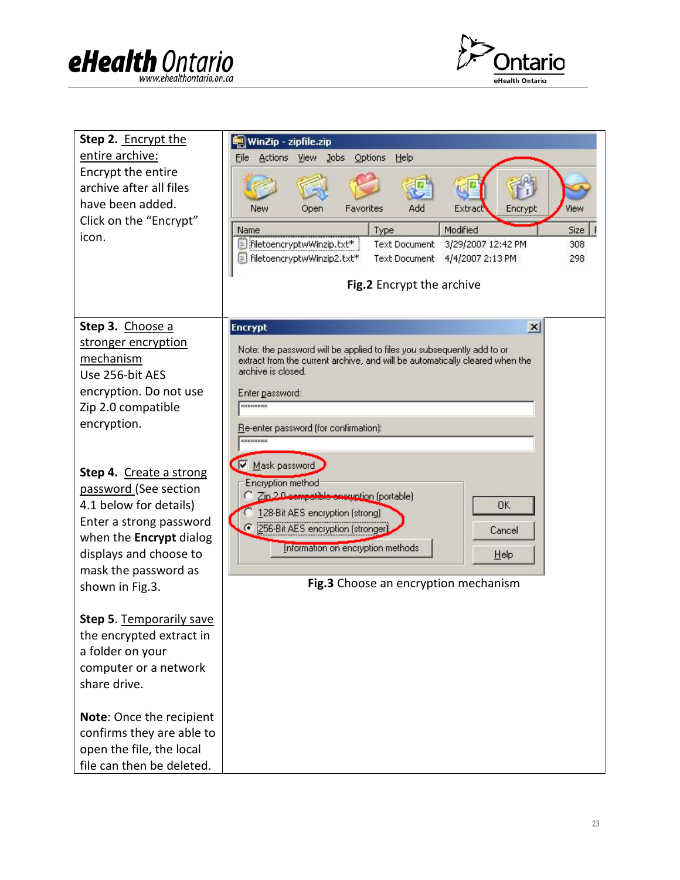



| Step 2. Encrypt the<br>entire archive:<br>Encrypt the entire<br>archive after all files<br>have been added.<br>Click on the "Encrypt" | WinZip - zipfile.zip<br>File Actions View Jobs Options<br>Help<br>Favorites<br>Add<br>New<br>Extract<br>Encrypt<br>View<br>Open                                                                                                  |  |  |  |
|---------------------------------------------------------------------------------------------------------------------------------------|----------------------------------------------------------------------------------------------------------------------------------------------------------------------------------------------------------------------------------|--|--|--|
| icon.                                                                                                                                 | Modified<br>Size<br>Name<br>Type<br>FiletoencryptwWinzip.txt*<br><b>Text Document</b><br>3/29/2007 12:42 PM<br>308<br>FiletoencryptwWinzip2.txt*<br>4/4/2007 2:13 PM<br><b>Text Document</b><br>298<br>Fig.2 Encrypt the archive |  |  |  |
| Step 3. Choose a                                                                                                                      | <b>Encrypt</b><br>$\vert x \vert$                                                                                                                                                                                                |  |  |  |
| stronger encryption                                                                                                                   |                                                                                                                                                                                                                                  |  |  |  |
| mechanism                                                                                                                             | Note: the password will be applied to files you subsequently add to or<br>extract from the current archive, and will be automatically cleared when the                                                                           |  |  |  |
| Use 256-bit AES                                                                                                                       | archive is closed.                                                                                                                                                                                                               |  |  |  |
| encryption. Do not use                                                                                                                | Enter password:                                                                                                                                                                                                                  |  |  |  |
| Zip 2.0 compatible                                                                                                                    | <b>xxxxxxxxx</b>                                                                                                                                                                                                                 |  |  |  |
| encryption.                                                                                                                           | Re-enter password (for confirmation):<br><b>xxxxxxxxx</b>                                                                                                                                                                        |  |  |  |
|                                                                                                                                       | Ω<br>Mask password                                                                                                                                                                                                               |  |  |  |
| Step 4. Create a strong<br>password (See section                                                                                      | Encryption method                                                                                                                                                                                                                |  |  |  |
| 4.1 below for details)                                                                                                                | Zin 2.0 competible enoughtion (portable)<br><b>OK</b>                                                                                                                                                                            |  |  |  |
| Enter a strong password                                                                                                               | 128-Bit AES encryption (strong)<br>G<br>[256-Bit AES encryption [stronger]<br>Cancel                                                                                                                                             |  |  |  |
| when the <b>Encrypt</b> dialog                                                                                                        | Information on encryption methods                                                                                                                                                                                                |  |  |  |
| displays and choose to                                                                                                                | Help                                                                                                                                                                                                                             |  |  |  |
| mask the password as<br>shown in Fig.3.                                                                                               | Fig.3 Choose an encryption mechanism                                                                                                                                                                                             |  |  |  |
|                                                                                                                                       |                                                                                                                                                                                                                                  |  |  |  |
| <b>Step 5. Temporarily save</b>                                                                                                       |                                                                                                                                                                                                                                  |  |  |  |
| the encrypted extract in                                                                                                              |                                                                                                                                                                                                                                  |  |  |  |
| a folder on your                                                                                                                      |                                                                                                                                                                                                                                  |  |  |  |
| computer or a network                                                                                                                 |                                                                                                                                                                                                                                  |  |  |  |
| share drive.                                                                                                                          |                                                                                                                                                                                                                                  |  |  |  |
| Note: Once the recipient                                                                                                              |                                                                                                                                                                                                                                  |  |  |  |
| confirms they are able to                                                                                                             |                                                                                                                                                                                                                                  |  |  |  |
| open the file, the local                                                                                                              |                                                                                                                                                                                                                                  |  |  |  |
| file can then be deleted.                                                                                                             |                                                                                                                                                                                                                                  |  |  |  |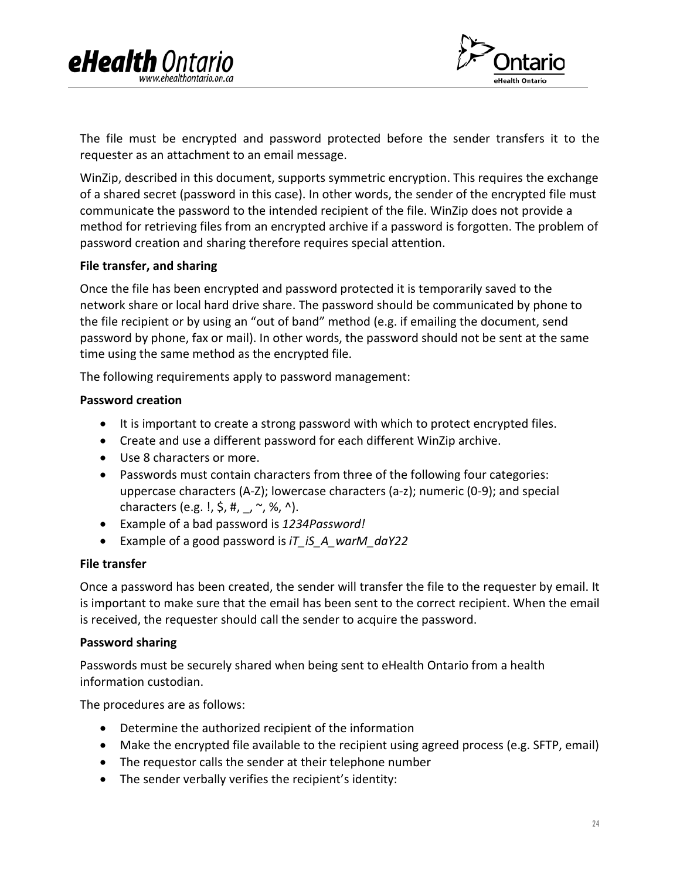



The file must be encrypted and password protected before the sender transfers it to the requester as an attachment to an email message.

WinZip, described in this document, supports symmetric encryption. This requires the exchange of a shared secret (password in this case). In other words, the sender of the encrypted file must communicate the password to the intended recipient of the file. WinZip does not provide a method for retrieving files from an encrypted archive if a password is forgotten. The problem of password creation and sharing therefore requires special attention.

#### **File transfer, and sharing**

Once the file has been encrypted and password protected it is temporarily saved to the network share or local hard drive share. The password should be communicated by phone to the file recipient or by using an "out of band" method (e.g. if emailing the document, send password by phone, fax or mail). In other words, the password should not be sent at the same time using the same method as the encrypted file.

The following requirements apply to password management:

### **Password creation**

- It is important to create a strong password with which to protect encrypted files.
- Create and use a different password for each different WinZip archive.
- Use 8 characters or more.
- Passwords must contain characters from three of the following four categories: uppercase characters (A-Z); lowercase characters (a-z); numeric (0-9); and special characters (e.g. !,  $\zeta$ , #, , ~, %, ^).
- Example of a bad password is *1234Password!*
- Example of a good password is *iT\_iS\_A\_warM\_daY22*

#### **File transfer**

Once a password has been created, the sender will transfer the file to the requester by email. It is important to make sure that the email has been sent to the correct recipient. When the email is received, the requester should call the sender to acquire the password.

#### **Password sharing**

Passwords must be securely shared when being sent to eHealth Ontario from a health information custodian.

The procedures are as follows:

- Determine the authorized recipient of the information
- Make the encrypted file available to the recipient using agreed process (e.g. SFTP, email)
- The requestor calls the sender at their telephone number
- The sender verbally verifies the recipient's identity: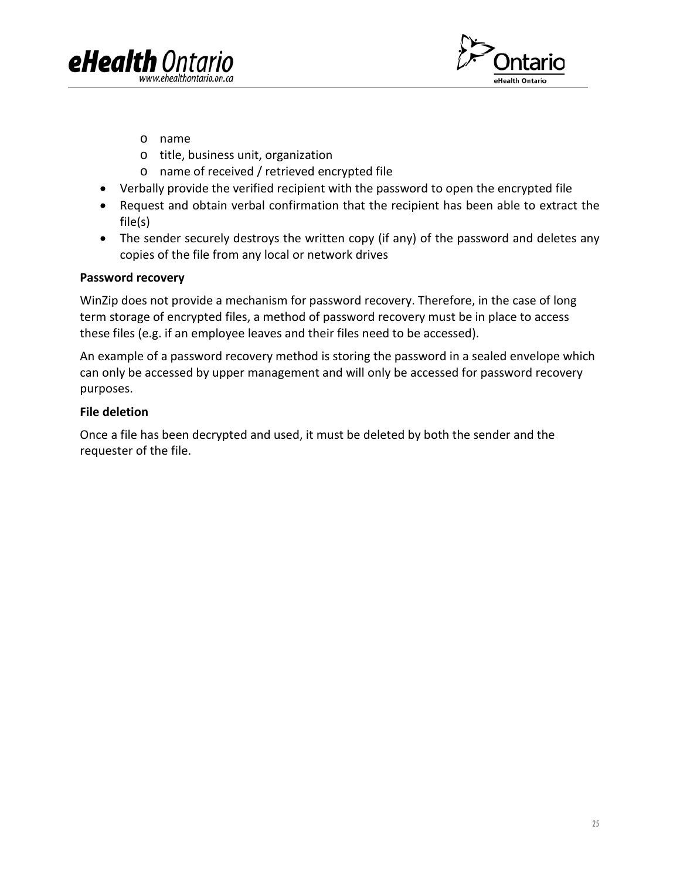



- o name
- o title, business unit, organization
- o name of received / retrieved encrypted file
- Verbally provide the verified recipient with the password to open the encrypted file
- Request and obtain verbal confirmation that the recipient has been able to extract the file(s)
- The sender securely destroys the written copy (if any) of the password and deletes any copies of the file from any local or network drives

#### **Password recovery**

WinZip does not provide a mechanism for password recovery. Therefore, in the case of long term storage of encrypted files, a method of password recovery must be in place to access these files (e.g. if an employee leaves and their files need to be accessed).

An example of a password recovery method is storing the password in a sealed envelope which can only be accessed by upper management and will only be accessed for password recovery purposes.

#### **File deletion**

Once a file has been decrypted and used, it must be deleted by both the sender and the requester of the file.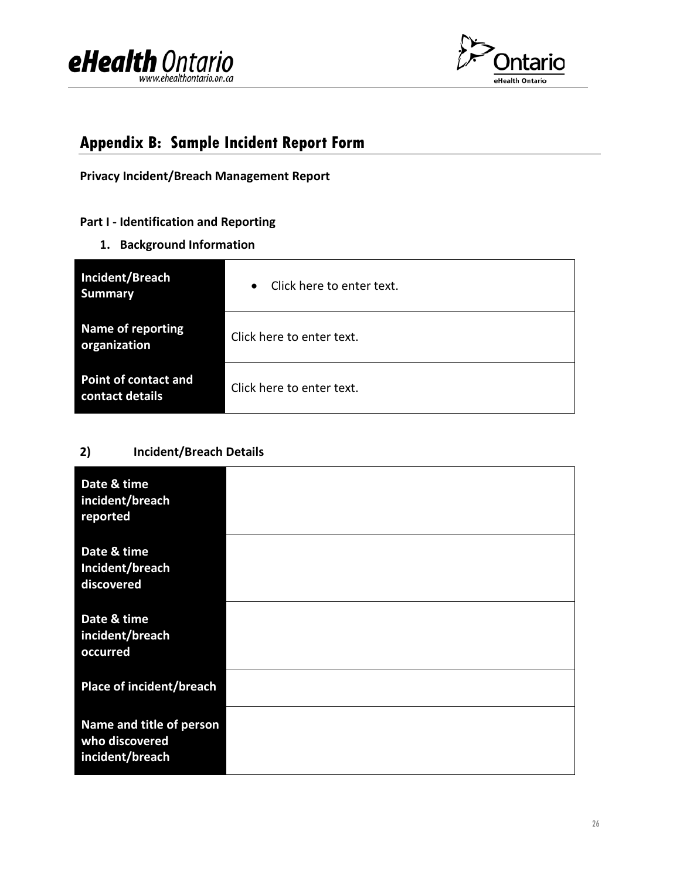



### <span id="page-25-0"></span>**Appendix B: Sample Incident Report Form**

**Privacy Incident/Breach Management Report** 

### **Part I - Identification and Reporting**

**1. Background Information**

| Incident/Breach<br><b>Summary</b>        | Click here to enter text.<br>$\bullet$ |  |  |
|------------------------------------------|----------------------------------------|--|--|
| <b>Name of reporting</b><br>organization | Click here to enter text.              |  |  |
| Point of contact and<br>contact details  | Click here to enter text.              |  |  |

### **2) Incident/Breach Details**

| Date & time<br>incident/breach<br>reported                    |  |
|---------------------------------------------------------------|--|
| Date & time<br>Incident/breach<br>discovered                  |  |
| Date & time<br>incident/breach<br>occurred                    |  |
| Place of incident/breach                                      |  |
| Name and title of person<br>who discovered<br>incident/breach |  |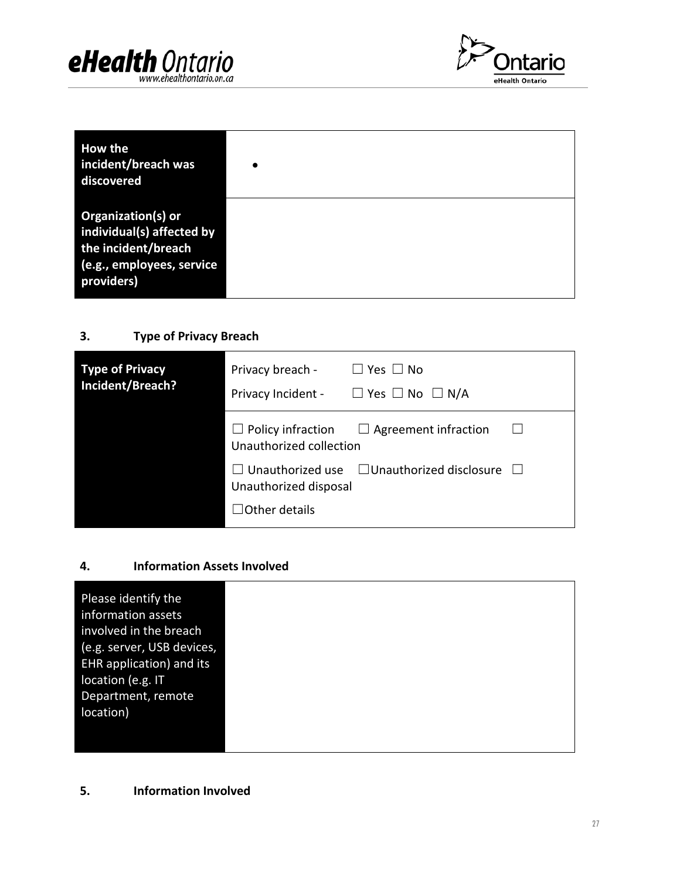



| <b>How the</b><br>incident/breach was<br>discovered                                                                      | $\bullet$ |
|--------------------------------------------------------------------------------------------------------------------------|-----------|
| <b>Organization(s) or</b><br>individual(s) affected by<br>the incident/breach<br>(e.g., employees, service<br>providers) |           |

### **3. Type of Privacy Breach**

| <b>Type of Privacy</b><br>Incident/Breach? | Privacy breach -<br>Privacy Incident - | $\Box$ Yes $\Box$ No<br>$\Box$ Yes $\Box$ No $\Box$ N/A       |        |
|--------------------------------------------|----------------------------------------|---------------------------------------------------------------|--------|
|                                            | Unauthorized collection                | $\Box$ Policy infraction $\Box$ Agreement infraction          | $\Box$ |
|                                            | Unauthorized disposal                  | $\Box$ Unauthorized use $\Box$ Unauthorized disclosure $\Box$ |        |
|                                            | $\Box$ Other details                   |                                                               |        |

### **4. Information Assets Involved**

| Please identify the        |  |  |
|----------------------------|--|--|
| information assets         |  |  |
| involved in the breach     |  |  |
| (e.g. server, USB devices, |  |  |
| EHR application) and its   |  |  |
| location (e.g. IT          |  |  |
| Department, remote         |  |  |
| location)                  |  |  |
|                            |  |  |
|                            |  |  |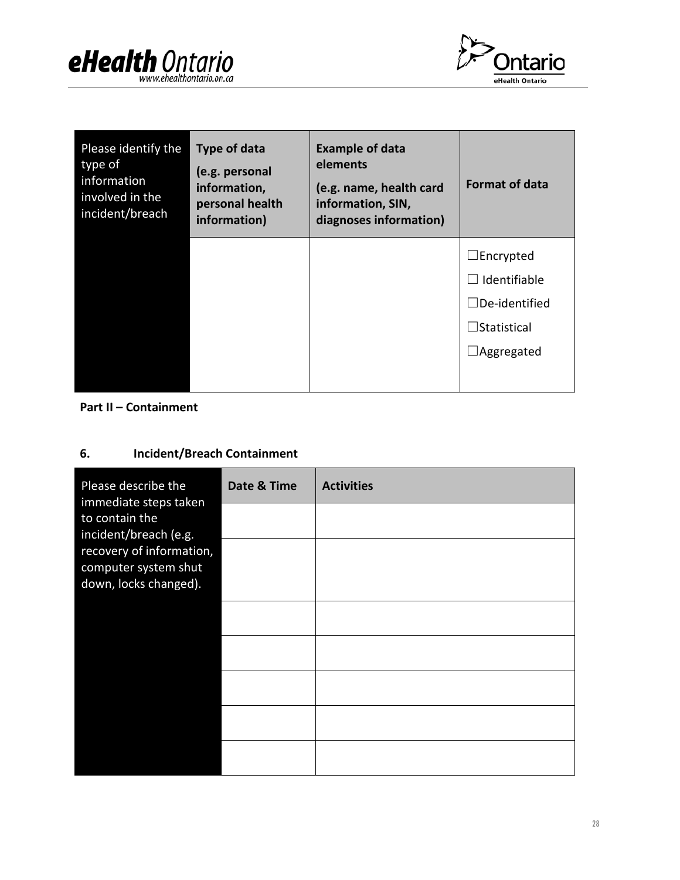



| Please identify the<br>type of<br>information<br>involved in the<br>incident/breach | <b>Type of data</b><br>(e.g. personal<br>information,<br>personal health<br>information) | <b>Example of data</b><br>elements<br>(e.g. name, health card<br>information, SIN,<br>diagnoses information) | <b>Format of data</b> |
|-------------------------------------------------------------------------------------|------------------------------------------------------------------------------------------|--------------------------------------------------------------------------------------------------------------|-----------------------|
|                                                                                     |                                                                                          |                                                                                                              | $\Box$ Encrypted      |
|                                                                                     |                                                                                          |                                                                                                              | Identifiable          |
|                                                                                     |                                                                                          |                                                                                                              | $\Box$ De-identified  |
|                                                                                     |                                                                                          |                                                                                                              | $\Box$ Statistical    |
|                                                                                     |                                                                                          |                                                                                                              | Aggregated            |
|                                                                                     |                                                                                          |                                                                                                              |                       |

### **Part II – Containment**

### **6. Incident/Breach Containment**

| Please describe the<br>immediate steps taken<br>to contain the<br>incident/breach (e.g.<br>recovery of information,<br>computer system shut<br>down, locks changed). | Date & Time | <b>Activities</b> |
|----------------------------------------------------------------------------------------------------------------------------------------------------------------------|-------------|-------------------|
|                                                                                                                                                                      |             |                   |
|                                                                                                                                                                      |             |                   |
|                                                                                                                                                                      |             |                   |
|                                                                                                                                                                      |             |                   |
|                                                                                                                                                                      |             |                   |
|                                                                                                                                                                      |             |                   |
|                                                                                                                                                                      |             |                   |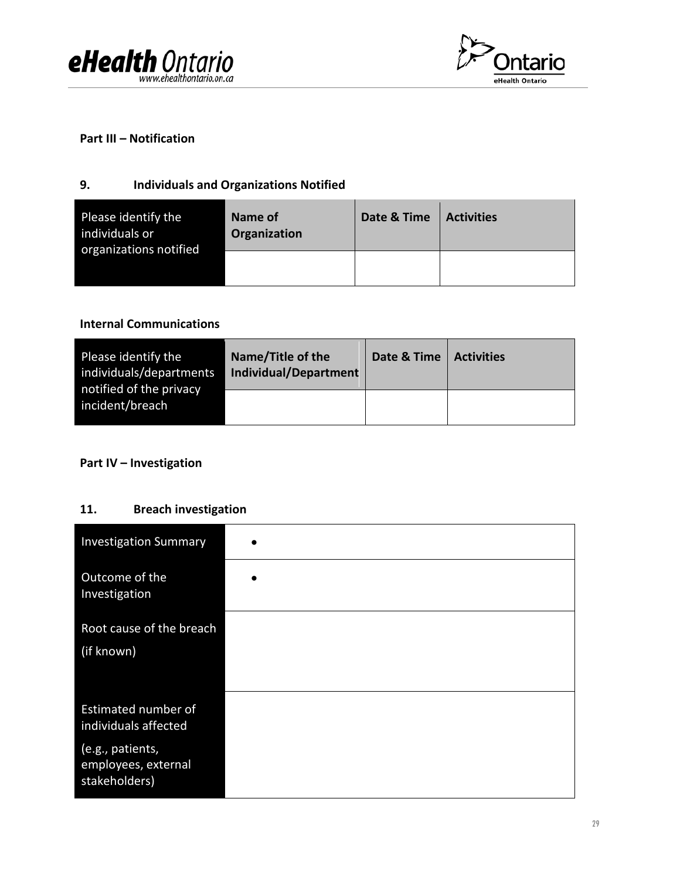



#### **Part III – Notification**

### **9. Individuals and Organizations Notified**

| Please identify the<br>individuals or<br>organizations notified | Name of<br>Organization | Date & Time | <b>Activities</b> |
|-----------------------------------------------------------------|-------------------------|-------------|-------------------|
|                                                                 |                         |             |                   |

#### **Internal Communications**

| Please identify the<br>individuals/departments<br>notified of the privacy | Name/Title of the<br><b>Individual/Department</b> | Date & Time | <b>Activities</b> |
|---------------------------------------------------------------------------|---------------------------------------------------|-------------|-------------------|
| incident/breach                                                           |                                                   |             |                   |

### **Part IV – Investigation**

### **11. Breach investigation**

| <b>Investigation Summary</b>                             |           |
|----------------------------------------------------------|-----------|
| Outcome of the<br>Investigation                          | $\bullet$ |
| Root cause of the breach<br>(if known)                   |           |
| Estimated number of<br>individuals affected              |           |
| (e.g., patients,<br>employees, external<br>stakeholders) |           |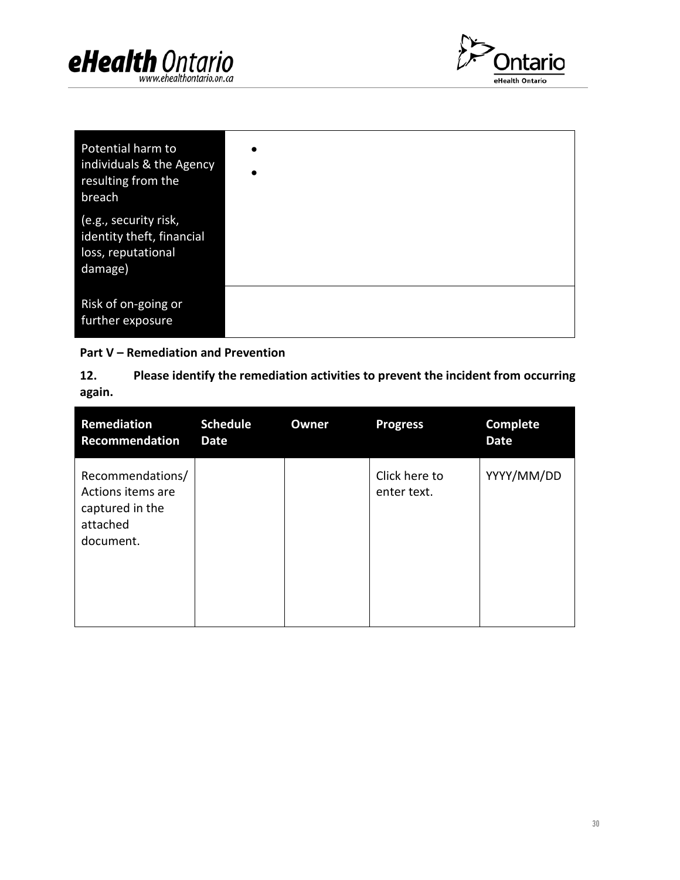



| Potential harm to<br>individuals & the Agency<br>resulting from the<br>breach       | $\bullet$<br>$\bullet$ |
|-------------------------------------------------------------------------------------|------------------------|
| (e.g., security risk,<br>identity theft, financial<br>loss, reputational<br>damage) |                        |
| Risk of on-going or<br>further exposure                                             |                        |

### **Part V – Remediation and Prevention**

**12. Please identify the remediation activities to prevent the incident from occurring again.** 

| <b>Remediation</b><br><b>Recommendation</b>                                       | <b>Schedule</b><br>Date | Owner | <b>Progress</b>              | <b>Complete</b><br><b>Date</b> |
|-----------------------------------------------------------------------------------|-------------------------|-------|------------------------------|--------------------------------|
| Recommendations/<br>Actions items are<br>captured in the<br>attached<br>document. |                         |       | Click here to<br>enter text. | YYYY/MM/DD                     |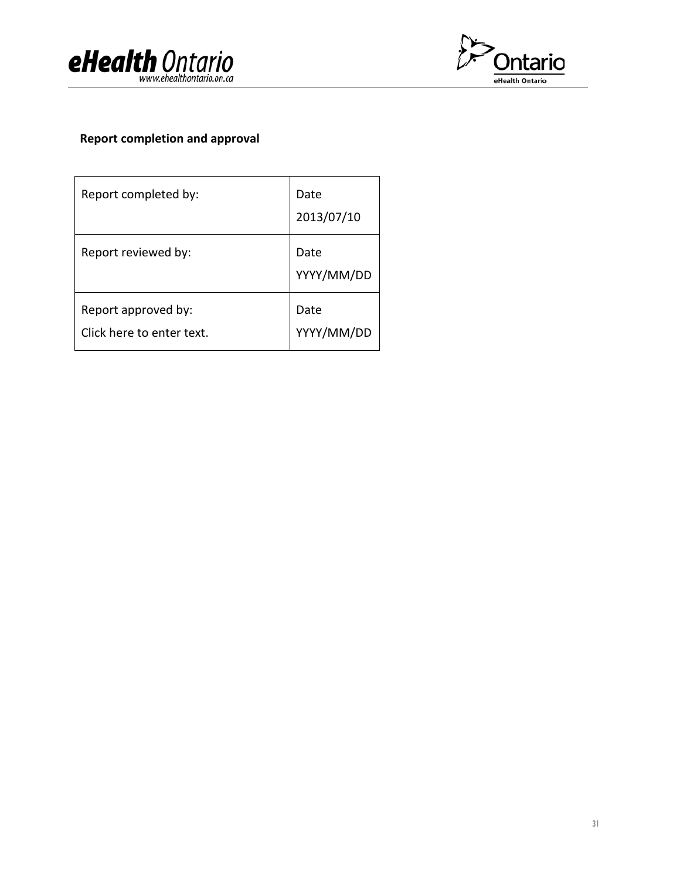



### **Report completion and approval**

| Report completed by:                             | Date<br>2013/07/10 |
|--------------------------------------------------|--------------------|
| Report reviewed by:                              | Date<br>YYYY/MM/DD |
| Report approved by:<br>Click here to enter text. | Date<br>YYYY/MM/DD |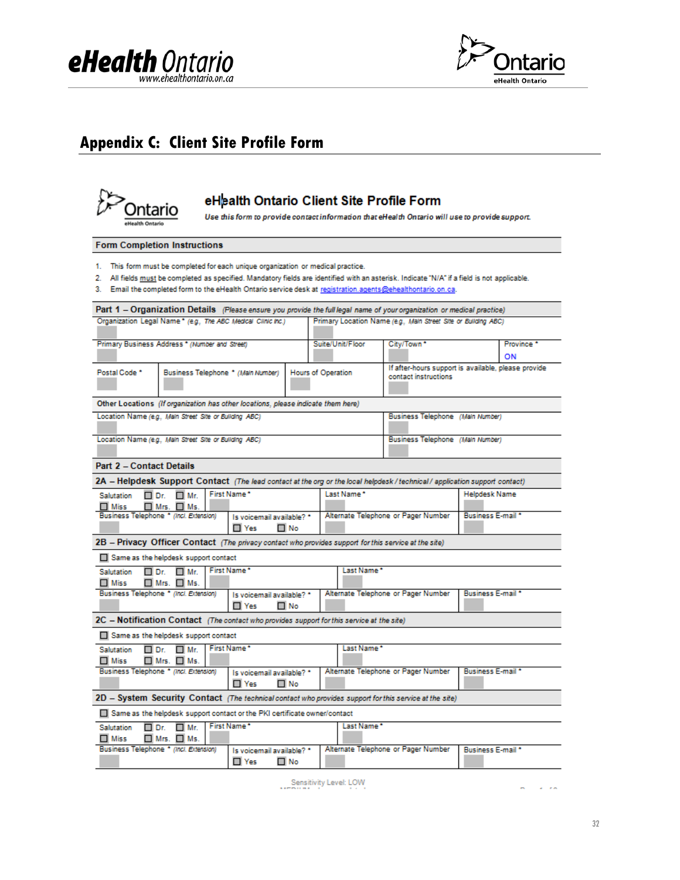



### <span id="page-31-0"></span>**Appendix C: Client Site Profile Form**



### eHealth Ontario Client Site Profile Form

Use this form to provide contact information that eHealth Ontario will use to provide support.

#### **Form Completion Instructions**

- 1. This form must be completed for each unique organization or medical practice.
- 2. All fields must be completed as specified. Mandatory fields are identified with an asterisk. Indicate "N/A" if a field is not applicable.
- 3. Email the completed form to the eHealth Ontario service desk at registration.agents@ehealthontario.on.ca.

| Part 1 - Organization Details (Please ensure you provide the full legal name of your organization or medical practice)  |                                        |  |                                         |                           |                                                                             |                                     |  |                                     |                          |    |
|-------------------------------------------------------------------------------------------------------------------------|----------------------------------------|--|-----------------------------------------|---------------------------|-----------------------------------------------------------------------------|-------------------------------------|--|-------------------------------------|--------------------------|----|
| Organization Legal Name * (e.g., The ABC Medical Clinic Inc.)                                                           |                                        |  |                                         |                           | Primary Location Name (e.g., Main Street Site or Building ABC)              |                                     |  |                                     |                          |    |
| Primary Business Address * (Number and Street)                                                                          |                                        |  |                                         | Suite/Unit/Floor          |                                                                             | City/Town <sup>*</sup>              |  |                                     | Province <sup>*</sup>    |    |
|                                                                                                                         |                                        |  |                                         |                           |                                                                             |                                     |  |                                     |                          | ON |
| Postal Code *                                                                                                           | Business Telephone * (Main Number)     |  |                                         | <b>Hours of Operation</b> | If after-hours support is available, please provide<br>contact instructions |                                     |  |                                     |                          |    |
| Other Locations (If organization has other locations, please indicate them here)                                        |                                        |  |                                         |                           |                                                                             |                                     |  |                                     |                          |    |
| Location Name (e.g., Main Street Site or Building ABC)                                                                  |                                        |  |                                         |                           |                                                                             |                                     |  | Business Telephone (Main Number)    |                          |    |
| Location Name (e.g., Main Street Site or Building ABC)                                                                  |                                        |  |                                         |                           |                                                                             |                                     |  | Business Telephone (Main Number)    |                          |    |
| <b>Part 2 - Contact Details</b>                                                                                         |                                        |  |                                         |                           |                                                                             |                                     |  |                                     |                          |    |
| 2A - Helpdesk Support Contact (The lead contact at the org or the local helpdesk/technical/application support contact) |                                        |  |                                         |                           |                                                                             |                                     |  |                                     |                          |    |
| Salutation<br>□ Dr.                                                                                                     | $\Box$ Mr.                             |  | First Name*                             |                           | Last Name*                                                                  |                                     |  |                                     | <b>Helpdesk Name</b>     |    |
| $\Box$ Miss                                                                                                             | $\blacksquare$ Mrs. $\blacksquare$ Ms. |  |                                         |                           |                                                                             |                                     |  |                                     |                          |    |
| Business Telephone * (Incl. Extension)                                                                                  |                                        |  | Is voicemail available? *               |                           |                                                                             | Alternate Telephone or Pager Number |  | Business E-mail *                   |                          |    |
|                                                                                                                         |                                        |  | $\Box$ Yes                              | Π No                      |                                                                             |                                     |  |                                     |                          |    |
| 2B - Privacy Officer Contact (The privacy contact who provides support for this service at the site)                    |                                        |  |                                         |                           |                                                                             |                                     |  |                                     |                          |    |
| Same as the helpdesk support contact                                                                                    |                                        |  |                                         |                           |                                                                             |                                     |  |                                     |                          |    |
| <b>Salutation</b><br>□ Dr.                                                                                              | $\Box$ Mr.                             |  | First Name*                             |                           |                                                                             | Last Name*                          |  |                                     |                          |    |
| $\Box$ Miss                                                                                                             | $\Box$ Mrs. $\Box$ Ms.                 |  |                                         |                           |                                                                             |                                     |  |                                     |                          |    |
| Business Telephone * (Incl. Extension)                                                                                  |                                        |  | Is voicemail available? *               | ΠNo                       |                                                                             |                                     |  | Alternate Telephone or Pager Number | <b>Business E-mail *</b> |    |
|                                                                                                                         |                                        |  | $\Box$ Yes                              |                           |                                                                             |                                     |  |                                     |                          |    |
| 2C - Notification Contact (The contact who provides support for this service at the site)                               |                                        |  |                                         |                           |                                                                             |                                     |  |                                     |                          |    |
| Same as the helpdesk support contact                                                                                    |                                        |  |                                         |                           |                                                                             |                                     |  |                                     |                          |    |
| □ Dr.<br><b>Salutation</b>                                                                                              | $\Box$ Mr.                             |  | First Name*                             |                           |                                                                             | Last Name*                          |  |                                     |                          |    |
| $\Box$ Miss<br>Business Telephone * (Incl. Extension)                                                                   | $\Box$ Mrs. $\Box$ Ms.                 |  |                                         |                           |                                                                             |                                     |  | Alternate Telephone or Pager Number | <b>Business E-mail</b> * |    |
|                                                                                                                         |                                        |  | Is voicemail available? *<br>$\Box$ Yes | $\Box$ No                 |                                                                             |                                     |  |                                     |                          |    |
| 2D - System Security Contact (The technical contact who provides support for this service at the site)                  |                                        |  |                                         |                           |                                                                             |                                     |  |                                     |                          |    |
| Same as the helpdesk support contact or the PKI certificate owner/contact                                               |                                        |  |                                         |                           |                                                                             |                                     |  |                                     |                          |    |
| <b>Salutation</b><br>□ Dr.<br>$\Box$ Miss                                                                               | $\Box$ Mr.<br>$\Box$ Mrs. $\Box$ Ms.   |  | First Name*                             |                           |                                                                             | Last Name*                          |  |                                     |                          |    |
| Business Telephone * (Incl. Extension)                                                                                  |                                        |  | Is voicemail available? *<br>□ Yes      | $\Box$ No                 |                                                                             |                                     |  | Alternate Telephone or Pager Number | Business E-mail *        |    |

Sensitivity Level: LOW

 $\alpha$  ,  $\beta$  , and  $\mathbf{r}$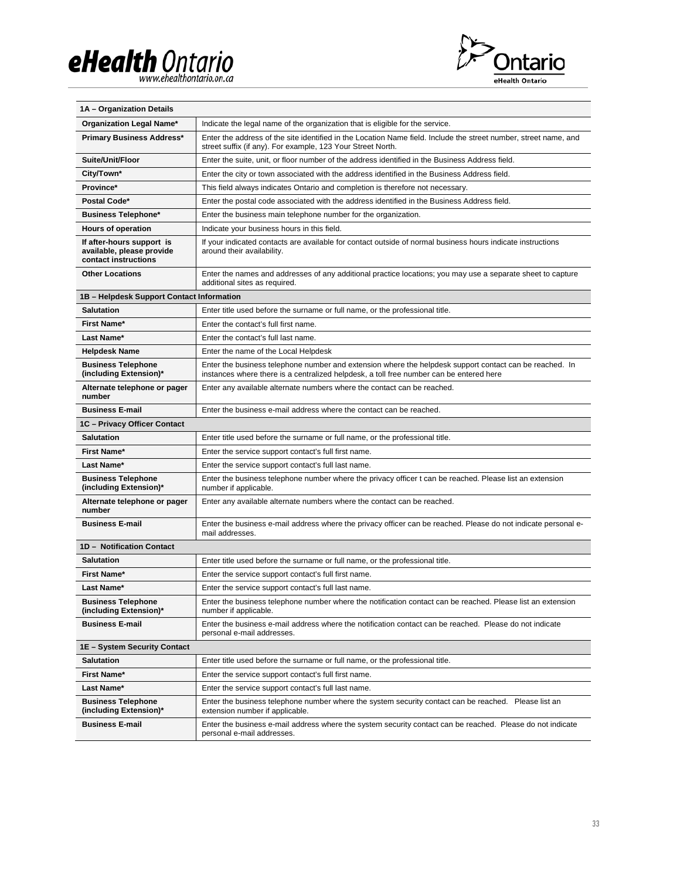# eHealth Ontario



| 1A - Organization Details                                                      |                                                                                                                                                                                                    |
|--------------------------------------------------------------------------------|----------------------------------------------------------------------------------------------------------------------------------------------------------------------------------------------------|
| Organization Legal Name*                                                       | Indicate the legal name of the organization that is eligible for the service.                                                                                                                      |
| <b>Primary Business Address*</b>                                               | Enter the address of the site identified in the Location Name field. Include the street number, street name, and<br>street suffix (if any). For example, 123 Your Street North.                    |
| Suite/Unit/Floor                                                               | Enter the suite, unit, or floor number of the address identified in the Business Address field.                                                                                                    |
| City/Town*                                                                     | Enter the city or town associated with the address identified in the Business Address field.                                                                                                       |
| Province*                                                                      | This field always indicates Ontario and completion is therefore not necessary.                                                                                                                     |
| Postal Code*                                                                   | Enter the postal code associated with the address identified in the Business Address field.                                                                                                        |
| <b>Business Telephone*</b>                                                     | Enter the business main telephone number for the organization.                                                                                                                                     |
| Hours of operation                                                             | Indicate your business hours in this field.                                                                                                                                                        |
| If after-hours support is<br>available, please provide<br>contact instructions | If your indicated contacts are available for contact outside of normal business hours indicate instructions<br>around their availability.                                                          |
| <b>Other Locations</b>                                                         | Enter the names and addresses of any additional practice locations; you may use a separate sheet to capture<br>additional sites as required.                                                       |
| 1B - Helpdesk Support Contact Information                                      |                                                                                                                                                                                                    |
| <b>Salutation</b>                                                              | Enter title used before the surname or full name, or the professional title.                                                                                                                       |
| First Name*                                                                    | Enter the contact's full first name.                                                                                                                                                               |
| Last Name*                                                                     | Enter the contact's full last name.                                                                                                                                                                |
| <b>Helpdesk Name</b>                                                           | Enter the name of the Local Helpdesk                                                                                                                                                               |
| <b>Business Telephone</b><br>(including Extension)*                            | Enter the business telephone number and extension where the helpdesk support contact can be reached. In<br>instances where there is a centralized helpdesk, a toll free number can be entered here |
| Alternate telephone or pager<br>number                                         | Enter any available alternate numbers where the contact can be reached.                                                                                                                            |
| <b>Business E-mail</b>                                                         | Enter the business e-mail address where the contact can be reached.                                                                                                                                |
| 1C - Privacy Officer Contact                                                   |                                                                                                                                                                                                    |
| <b>Salutation</b>                                                              | Enter title used before the surname or full name, or the professional title.                                                                                                                       |
| First Name*                                                                    | Enter the service support contact's full first name.                                                                                                                                               |
| Last Name*                                                                     | Enter the service support contact's full last name.                                                                                                                                                |
| <b>Business Telephone</b><br>(including Extension)*                            | Enter the business telephone number where the privacy officer t can be reached. Please list an extension<br>number if applicable.                                                                  |
| Alternate telephone or pager<br>number                                         | Enter any available alternate numbers where the contact can be reached.                                                                                                                            |
| <b>Business E-mail</b>                                                         | Enter the business e-mail address where the privacy officer can be reached. Please do not indicate personal e-<br>mail addresses.                                                                  |
| 1D - Notification Contact                                                      |                                                                                                                                                                                                    |
| <b>Salutation</b>                                                              | Enter title used before the surname or full name, or the professional title.                                                                                                                       |
| First Name*                                                                    | Enter the service support contact's full first name.                                                                                                                                               |
| Last Name*                                                                     | Enter the service support contact's full last name.                                                                                                                                                |
| <b>Business Telephone</b><br>(including Extension)*                            | Enter the business telephone number where the notification contact can be reached. Please list an extension<br>number if applicable.                                                               |
| <b>Business E-mail</b>                                                         | Enter the business e-mail address where the notification contact can be reached. Please do not indicate<br>personal e-mail addresses.                                                              |
| 1E - System Security Contact                                                   |                                                                                                                                                                                                    |
| Salutation                                                                     | Enter title used before the surname or full name, or the professional title.                                                                                                                       |
| First Name*                                                                    | Enter the service support contact's full first name.                                                                                                                                               |
| Last Name*                                                                     | Enter the service support contact's full last name.                                                                                                                                                |
| <b>Business Telephone</b><br>(including Extension)*                            | Enter the business telephone number where the system security contact can be reached. Please list an<br>extension number if applicable.                                                            |
| <b>Business E-mail</b>                                                         | Enter the business e-mail address where the system security contact can be reached. Please do not indicate<br>personal e-mail addresses.                                                           |